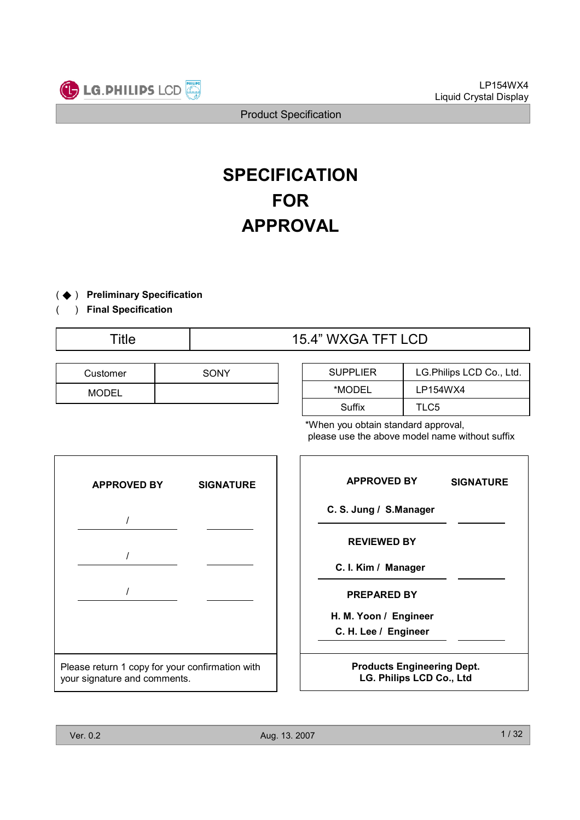

# **SPECIFICATION** FOR APPROVAL

- ( ◆ ) Preliminary Specification
- ) Final Specification (
	-

| Customer     | SONY |
|--------------|------|
| <b>MODEL</b> |      |

| Title | 15.4" WXGA TFT LCD |
|-------|--------------------|
|       |                    |

| <b>SUPPLIER</b> | LG.Philips LCD Co., Ltd. |  |
|-----------------|--------------------------|--|
| *MODEL          | LP154WX4                 |  |
| Suffix          | TLC5                     |  |

\*When you obtain standard approval, please use the above model name without suffix



| <b>APPROVED BY</b>                                            | <b>SIGNATURE</b> |  |  |
|---------------------------------------------------------------|------------------|--|--|
| C. S. Jung / S.Manager                                        |                  |  |  |
| <b>REVIEWED BY</b>                                            |                  |  |  |
| C. I. Kim / Manager                                           |                  |  |  |
| <b>PREPARED BY</b>                                            |                  |  |  |
| H. M. Yoon / Engineer                                         |                  |  |  |
| C. H. Lee / Engineer                                          |                  |  |  |
|                                                               |                  |  |  |
| <b>Products Engineering Dept.</b><br>LG. Philips LCD Co., Ltd |                  |  |  |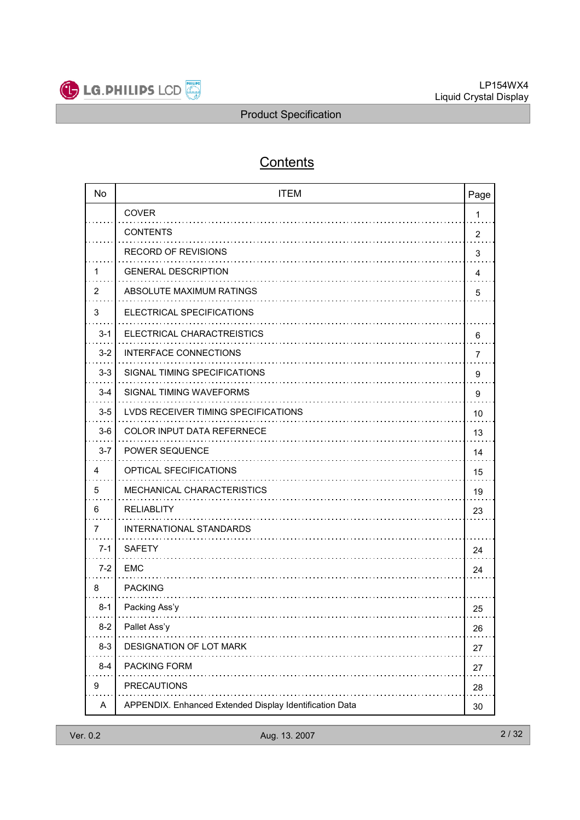

# **Contents**

| <b>No</b>      | <b>ITEM</b><br>Page                                     |                |  |
|----------------|---------------------------------------------------------|----------------|--|
|                | <b>COVER</b>                                            | 1              |  |
|                | <b>CONTENTS</b>                                         | $\overline{2}$ |  |
|                | <b>RECORD OF REVISIONS</b>                              | 3              |  |
| 1              | <b>GENERAL DESCRIPTION</b>                              | 4              |  |
| $\overline{2}$ | ABSOLUTE MAXIMUM RATINGS                                | 5              |  |
| 3              | ELECTRICAL SPECIFICATIONS                               |                |  |
| $3 - 1$        | ELECTRICAL CHARACTREISTICS                              | 6              |  |
| $3 - 2$        | <b>INTERFACE CONNECTIONS</b>                            | 7              |  |
| $3 - 3$        | SIGNAL TIMING SPECIFICATIONS                            | 9              |  |
| $3 - 4$        | SIGNAL TIMING WAVEFORMS                                 | 9              |  |
| $3-5$          | LVDS RECEIVER TIMING SPECIFICATIONS                     | 10             |  |
| $3-6$          | COLOR INPUT DATA REFERNECE                              | 13             |  |
| $3 - 7$        | <b>POWER SEQUENCE</b>                                   | 14             |  |
| 4              | <b>OPTICAL SFECIFICATIONS</b>                           | 15             |  |
| 5              | MECHANICAL CHARACTERISTICS                              | 19             |  |
| 6              | <b>RELIABLITY</b>                                       | 23             |  |
| 7              | INTERNATIONAL STANDARDS                                 |                |  |
| $7 - 1$        | <b>SAFETY</b>                                           | 24             |  |
| $7 - 2$        | <b>EMC</b>                                              | 24             |  |
| 8              | <b>PACKING</b>                                          |                |  |
| $8-1$          | Packing Ass'y                                           | 25             |  |
| $8 - 2$        | Pallet Ass'y                                            | 26             |  |
| $8 - 3$        | DESIGNATION OF LOT MARK                                 | 27             |  |
| $8 - 4$        | <b>PACKING FORM</b>                                     | 27             |  |
| 9              | <b>PRECAUTIONS</b>                                      | 28             |  |
| Α              | APPENDIX. Enhanced Extended Display Identification Data | 30             |  |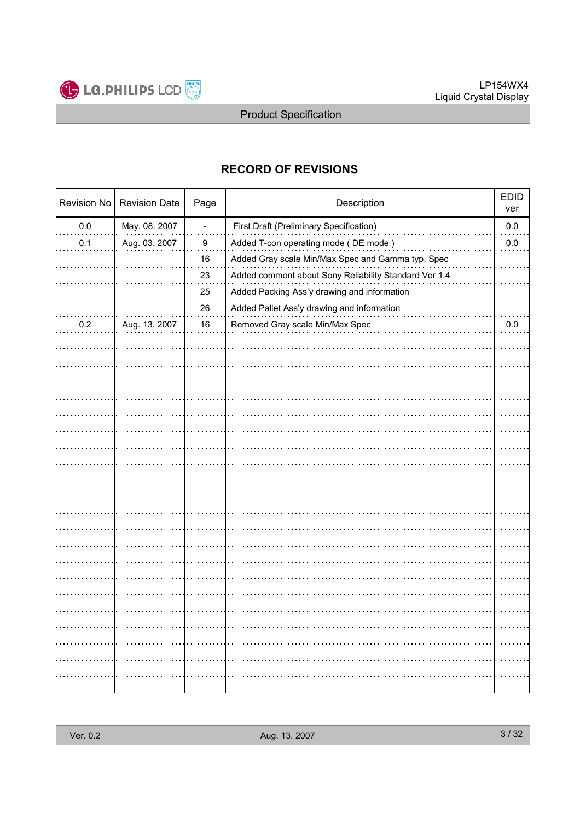

## RECORD OF REVISIONS

| Revision No | <b>Revision Date</b> | Page                     | Description                                           | <b>EDID</b><br>ver |
|-------------|----------------------|--------------------------|-------------------------------------------------------|--------------------|
| 0.0         | May. 08. 2007        | $\overline{\phantom{a}}$ | <b>First Draft (Preliminary Specification)</b>        | $0.0\,$            |
| 0.1         | Aug. 03. 2007        | 9                        | Added T-con operating mode (DE mode)                  | 0.0                |
|             |                      | 16                       | Added Gray scale Min/Max Spec and Gamma typ. Spec     |                    |
|             |                      | 23                       | Added comment about Sony Reliability Standard Ver 1.4 |                    |
|             |                      | 25                       | Added Packing Ass'y drawing and information           |                    |
|             |                      | 26                       | Added Pallet Ass'y drawing and information            |                    |
| 0.2         | Aug. 13. 2007        | 16                       | Removed Gray scale Min/Max Spec                       | $0.0\,$            |
|             |                      |                          |                                                       |                    |
|             |                      |                          |                                                       |                    |
|             |                      |                          |                                                       |                    |
|             |                      |                          |                                                       |                    |
|             |                      |                          |                                                       |                    |
|             |                      |                          |                                                       |                    |
|             |                      |                          |                                                       |                    |
|             |                      |                          |                                                       |                    |
|             |                      |                          |                                                       |                    |
|             |                      |                          |                                                       |                    |
|             |                      |                          |                                                       |                    |
|             |                      |                          |                                                       |                    |
|             |                      |                          |                                                       |                    |
|             |                      |                          |                                                       |                    |
|             |                      |                          |                                                       |                    |
|             |                      |                          |                                                       |                    |
|             |                      |                          |                                                       |                    |
|             |                      |                          |                                                       |                    |
|             |                      |                          |                                                       |                    |
|             |                      |                          |                                                       |                    |
|             |                      |                          |                                                       |                    |
|             |                      |                          |                                                       |                    |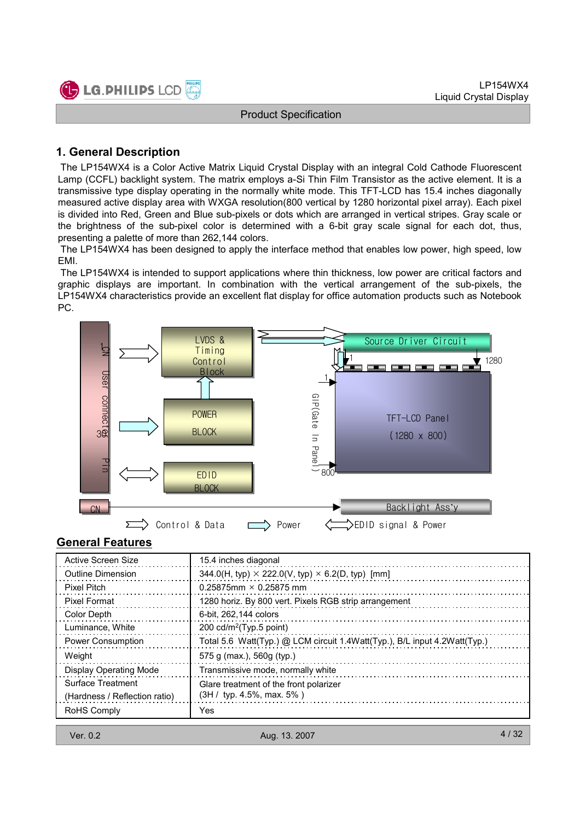

## 1. General Description

The LP154WX4 is a Color Active Matrix Liquid Crystal Display with an integral Cold Cathode Fluorescent Lamp (CCFL) backlight system. The matrix employs a-Si Thin Film Transistor as the active element. It is a transmissive type display operating in the normally white mode. This TFT-LCD has 15.4 inches diagonally measured active display area with WXGA resolution(800 vertical by 1280 horizontal pixel array). Each pixel is divided into Red, Green and Blue sub-pixels or dots which are arranged in vertical stripes. Gray scale or the brightness of the sub-pixel color is determined with a 6-bit gray scale signal for each dot, thus, presenting a palette of more than 262,144 colors.

The LP154WX4 has been designed to apply the interface method that enables low power, high speed, low EMI.

The LP154WX4 is intended to support applications where thin thickness, low power are critical factors and graphic displays are important. In combination with the vertical arrangement of the sub-pixels, the LP154WX4 characteristics provide an excellent flat display for office automation products such as Notebook PC.



## General Features

| Active Screen Size            | 15.4 inches diagonal                                                      |
|-------------------------------|---------------------------------------------------------------------------|
| <b>Outline Dimension</b>      | 344.0(H, typ) $\times$ 222.0(V, typ) $\times$ 6.2(D, typ) [mm]            |
| <b>Pixel Pitch</b>            | $0.25875$ mm $\times$ 0.25875 mm                                          |
| Pixel Format                  | 1280 horiz. By 800 vert. Pixels RGB strip arrangement                     |
| Color Depth                   | 6-bit, 262, 144 colors                                                    |
| Luminance, White              | 200 $cd/m^2$ (Typ.5 point)                                                |
| <b>Power Consumption</b>      | Total 5.6 Watt(Typ.) @ LCM circuit 1.4Watt(Typ.), B/L input 4.2Watt(Typ.) |
| Weight                        | 575 g (max.), 560g (typ.)                                                 |
| <b>Display Operating Mode</b> | Transmissive mode, normally white                                         |
| Surface Treatment             | Glare treatment of the front polarizer                                    |
| (Hardness / Reflection ratio) | $(3H / \text{typ. } 4.5\%, \text{max. } 5\%)$                             |
| RoHS Comply                   | Yes                                                                       |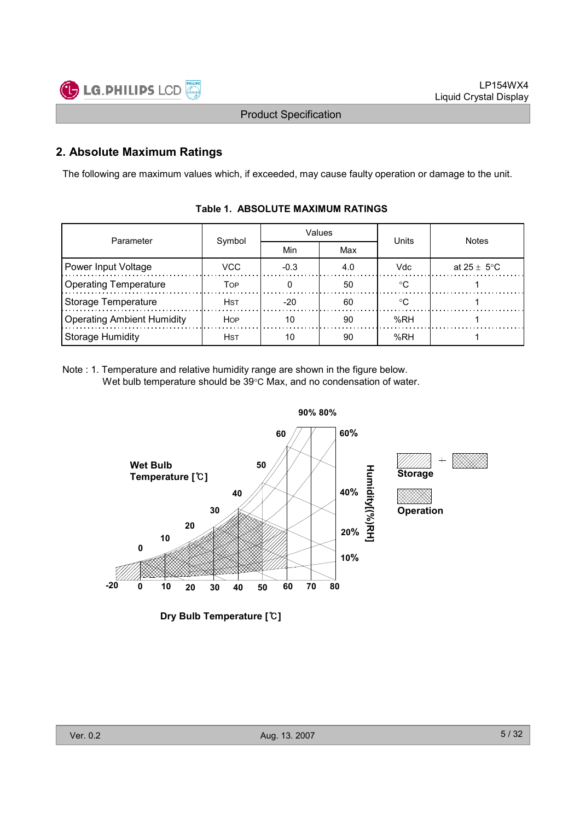

## 2. Absolute Maximum Ratings

The following are maximum values which, if exceeded, may cause faulty operation or damage to the unit.

| Parameter                         |             |        | Values | Units      | <b>Notes</b>    |  |
|-----------------------------------|-------------|--------|--------|------------|-----------------|--|
|                                   | Symbol      | Min    | Max    |            |                 |  |
| Power Input Voltage               | VCC.        | $-0.3$ | 4.0    | <b>Vdc</b> | at 25 $\pm$ 5°C |  |
| <b>Operating Temperature</b>      | Тор         |        | 50     | ∘∩         |                 |  |
| Storage Temperature               | <b>HST</b>  | $-20$  | 60     | ∘∩         |                 |  |
| <b>Operating Ambient Humidity</b> | <b>HOP</b>  | 10     | 90     | %RH        |                 |  |
| <b>Storage Humidity</b>           | <b>H</b> st | 10     | 90     | %RH        |                 |  |

#### Table 1. ABSOLUTE MAXIMUM RATINGS

Note : 1. Temperature and relative humidity range are shown in the figure below. Wet bulb temperature should be 39°C Max, and no condensation of water.



Dry Bulb Temperature [℃]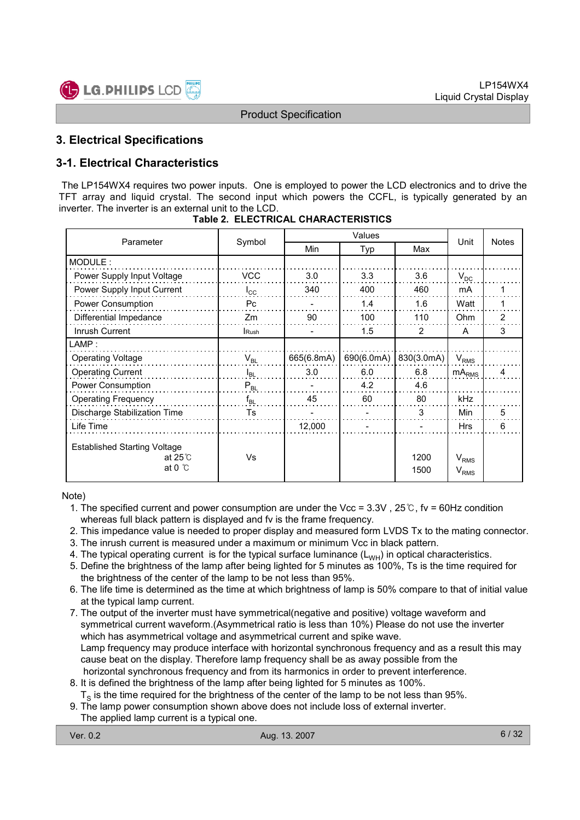

## 3. Electrical Specifications

## 3-1. Electrical Characteristics

The LP154WX4 requires two power inputs. One is employed to power the LCD electronics and to drive the TFT array and liquid crystal. The second input which powers the CCFL, is typically generated by an inverter. The inverter is an external unit to the LCD.

| Parameter                                                                  | Symbol       | Values     |            |              | Unit                                       | <b>Notes</b>   |
|----------------------------------------------------------------------------|--------------|------------|------------|--------------|--------------------------------------------|----------------|
|                                                                            |              | Min        | Typ        | Max          |                                            |                |
| MODULE:                                                                    |              |            |            |              |                                            |                |
| Power Supply Input Voltage                                                 | <b>VCC</b>   | 3.0        | 3.3        | 3.6          | $V_{DC}$                                   |                |
| Power Supply Input Current                                                 | $I_{\rm CC}$ | 340        | 400        | 460          | mA                                         |                |
| Power Consumption                                                          | Pc           |            | 1.4        | 1.6          | Watt                                       |                |
| Differential Impedance                                                     | Zm           | 90         | 100        | 110          | Ohm                                        | $\overline{2}$ |
| Inrush Current                                                             | Rush         |            | 1.5        | 2            | A                                          | 3              |
| $\mathsf{LAMP}$ :                                                          |              |            |            |              |                                            |                |
| <b>Operating Voltage</b>                                                   | $V_{BL}$     | 665(6.8mA) | 690(6.0mA) | 830(3.0mA)   | $V_{RMS}$                                  |                |
| <b>Operating Current</b>                                                   | $I_{BL}$     | 3.0        | 6.0        | 6.8          | $mA_{RMS}$                                 | 4              |
| Power Consumption                                                          | $P_{BL}$     |            | 4.2        | 4.6          |                                            |                |
| <b>Operating Frequency</b>                                                 | $f_{BL}$     | 45         | 60         | 80           | kHz                                        |                |
| Discharge Stabilization Time                                               | Ts           |            |            | 3            | Min                                        | 5              |
| Life Time                                                                  |              | 12,000     |            |              | <b>Hrs</b>                                 | 6              |
| <b>Established Starting Voltage</b><br>at $25^\circ$ C<br>at 0 $\degree$ C | Vs           |            |            | 1200<br>1500 | V <sub>RMS</sub><br><b>V<sub>RMS</sub></b> |                |

Note)

- 1. The specified current and power consumption are under the Vcc =  $3.3V$ ,  $25^\circ$ C, fv =  $60$ Hz condition whereas full black pattern is displayed and fv is the frame frequency.
- 2. This impedance value is needed to proper display and measured form LVDS Tx to the mating connector.
- 3. The inrush current is measured under a maximum or minimum Vcc in black pattern.
- 4. The typical operating current is for the typical surface luminance  $(L_{WH})$  in optical characteristics.
- 5. Define the brightness of the lamp after being lighted for 5 minutes as 100%, Ts is the time required for the brightness of the center of the lamp to be not less than 95%.
- 6. The life time is determined as the time at which brightness of lamp is 50% compare to that of initial value at the typical lamp current.
- 7. The output of the inverter must have symmetrical(negative and positive) voltage waveform and symmetrical current waveform.(Asymmetrical ratio is less than 10%) Please do not use the inverter which has asymmetrical voltage and asymmetrical current and spike wave. Lamp frequency may produce interface with horizontal synchronous frequency and as a result this may cause beat on the display. Therefore lamp frequency shall be as away possible from the horizontal synchronous frequency and from its harmonics in order to prevent interference.
- 8. It is defined the brightness of the lamp after being lighted for 5 minutes as 100%.
- ${\tt T_S}$  is the time required for the brightness of the center of the lamp to be not less than 95%.
- 9. The lamp power consumption shown above does not include loss of external inverter. The applied lamp current is a typical one.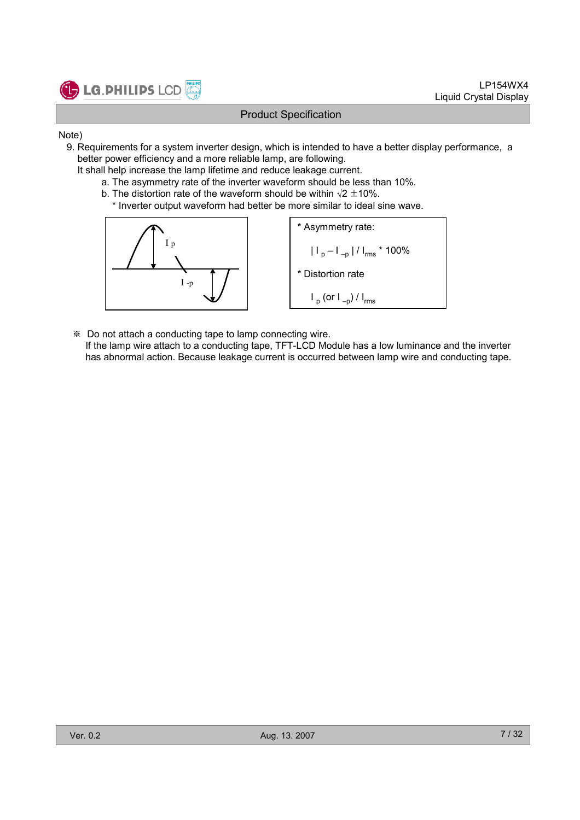

- Note)
	- 9. Requirements for a system inverter design, which is intended to have a better display performance, a better power efficiency and a more reliable lamp, are following.
		- It shall help increase the lamp lifetime and reduce leakage current.
			- a. The asymmetry rate of the inverter waveform should be less than 10%.
			- b. The distortion rate of the waveform should be within  $\sqrt{2} \pm 10\%$ .
				- \* Inverter output waveform had better be more similar to ideal sine wave.



※ Do not attach a conducting tape to lamp connecting wire. If the lamp wire attach to a conducting tape, TFT-LCD Module has a low luminance and the inverter has abnormal action. Because leakage current is occurred between lamp wire and conducting tape.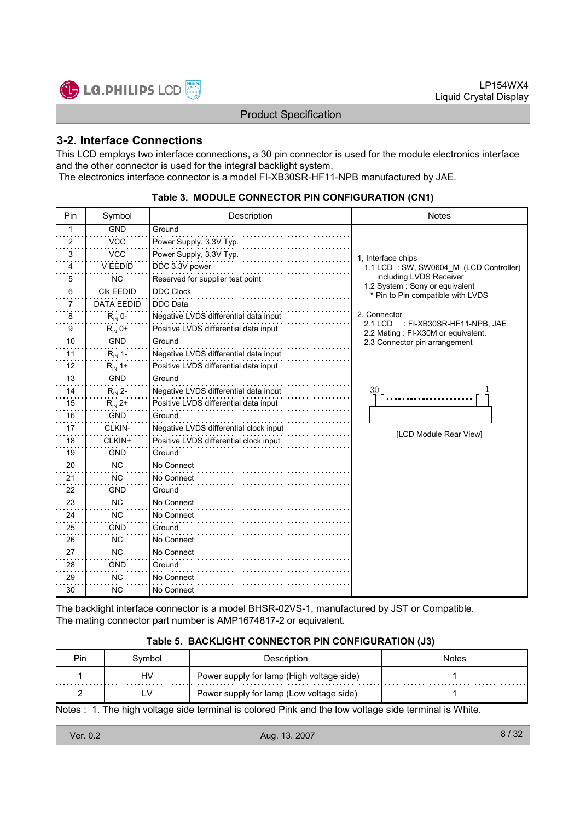

## 3-2. Interface Connections

This LCD employs two interface connections, a 30 pin connector is used for the module electronics interface and the other connector is used for the integral backlight system. The electronics interface connector is a model FI-XB30SR-HF11-NPB manufactured by JAE.

| Pin | Symbol             | Description                            | <b>Notes</b>                                                                        |  |
|-----|--------------------|----------------------------------------|-------------------------------------------------------------------------------------|--|
| 1   | <b>GND</b>         | Ground                                 |                                                                                     |  |
| 2   | <b>VCC</b>         | Power Supply, 3.3V Typ.                |                                                                                     |  |
| 3   | <b>VCC</b>         | Power Supply, 3.3V Typ.                | 1, Interface chips                                                                  |  |
| 4   | <b>V EEDID</b>     | DDC 3.3V power                         | 1.1 LCD: SW, SW0604 M (LCD Controller)                                              |  |
| 5   | ΝC                 | Reserved for supplier test point       | including LVDS Receiver                                                             |  |
| 6   | <b>CIK EEDID</b>   | <b>DDC Clock</b>                       | 1.2 System : Sony or equivalent<br>* Pin to Pin compatible with LVDS                |  |
| 7   | <b>DATA EEDID</b>  | <b>DDC</b> Data                        |                                                                                     |  |
| 8   | $R_{IN}$ 0-        | Negative LVDS differential data input  | 2. Connector                                                                        |  |
| 9   | $R_{IN}$ 0+        | Positive LVDS differential data input  | <b>2.1 LCD</b><br>: FI-XB30SR-HF11-NPB, JAE.<br>2.2 Mating : FI-X30M or equivalent. |  |
| 10  | <b>GND</b>         | Ground                                 | 2.3 Connector pin arrangement                                                       |  |
| 11  | $R_{IN}$ 1-        | Negative LVDS differential data input  |                                                                                     |  |
| 12  | $R_{IN}$ 1+        | Positive LVDS differential data input  |                                                                                     |  |
| 13  | <b>GND</b>         | Ground                                 |                                                                                     |  |
| 14  | $R_{\text{IN}}$ 2- | Negative LVDS differential data input  | 30                                                                                  |  |
| 15  | $R_{IN}$ 2+        | Positive LVDS differential data input  |                                                                                     |  |
| 16  | <b>GND</b>         | Ground                                 |                                                                                     |  |
| 17  | CLKIN-             | Negative LVDS differential clock input | [LCD Module Rear View]                                                              |  |
| 18  | CLKIN+             | Positive LVDS differential clock input |                                                                                     |  |
| 19  | <b>GND</b>         | Ground                                 |                                                                                     |  |
| 20  | <b>NC</b>          | No Connect                             |                                                                                     |  |
| 21  | <b>NC</b>          | No Connect                             |                                                                                     |  |
| 22  | <b>GND</b>         | Ground                                 |                                                                                     |  |
| 23  | <b>NC</b>          | No Connect                             |                                                                                     |  |
| 24  | <b>NC</b>          | No Connect                             |                                                                                     |  |
| 25  | <b>GND</b>         | Ground                                 |                                                                                     |  |
| 26  | <b>NC</b>          | No Connect                             |                                                                                     |  |
| 27  | <b>NC</b>          | No Connect                             |                                                                                     |  |
| 28  | <b>GND</b>         | Ground                                 |                                                                                     |  |
| 29  | <b>NC</b>          | No Connect                             |                                                                                     |  |
| 30  | ΝC                 | No Connect                             |                                                                                     |  |

#### Table 3. MODULE CONNECTOR PIN CONFIGURATION (CN1)

The backlight interface connector is a model BHSR-02VS-1, manufactured by JST or Compatible. The mating connector part number is AMP1674817-2 or equivalent.

#### Table 5. BACKLIGHT CONNECTOR PIN CONFIGURATION (J3)

| Pin | Svmbol | Description                               | Notes |
|-----|--------|-------------------------------------------|-------|
|     | HV     | Power supply for lamp (High voltage side) |       |
|     |        | Power supply for lamp (Low voltage side)  |       |

Notes : 1. The high voltage side terminal is colored Pink and the low voltage side terminal is White.

| Ver. 0.2 | Aug. 13. 2007 | 8/32 |
|----------|---------------|------|
|          |               |      |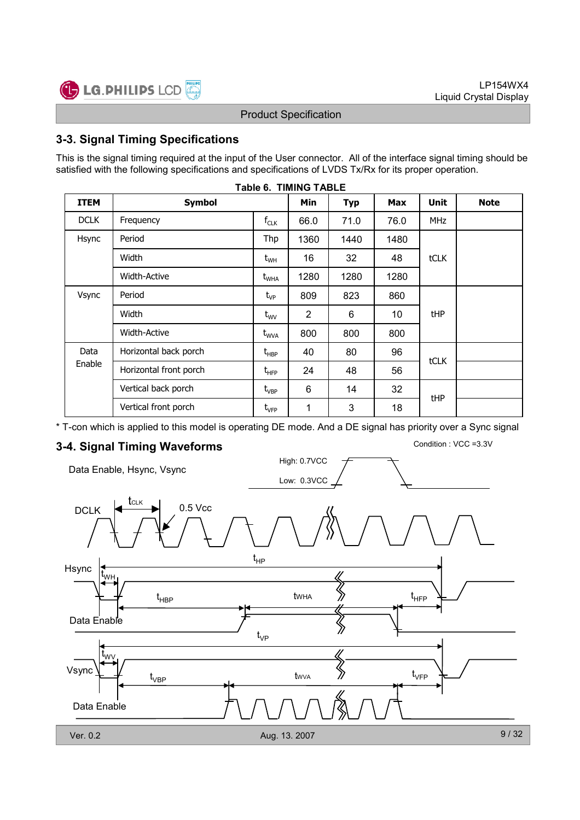

## 3-3. Signal Timing Specifications

This is the signal timing required at the input of the User connector. All of the interface signal timing should be satisfied with the following specifications and specifications of LVDS Tx/Rx for its proper operation.

| <b>ITEM</b> | <b>Symbol</b>          |                                  | <b>Min</b>     | <b>Typ</b> | <b>Max</b> | <b>Unit</b> | <b>Note</b> |
|-------------|------------------------|----------------------------------|----------------|------------|------------|-------------|-------------|
| <b>DCLK</b> | Frequency              | $f_{CLK}$                        | 66.0           | 71.0       | 76.0       | <b>MHz</b>  |             |
| Hsync       | Period                 | Thp                              | 1360           | 1440       | 1480       |             |             |
|             | Width                  | $\rm t_{\rm WH}$                 | 16             | 32         | 48         | tCLK        |             |
|             | <b>Width-Active</b>    | $t_{\text{WHA}}$                 | 1280           | 1280       | 1280       |             |             |
| Vsync       | Period                 | $t_{VP}$                         | 809            | 823        | 860        |             |             |
|             | Width                  | $t_{\text{wV}}$                  | $\overline{2}$ | 6          | 10         | <b>tHP</b>  |             |
|             | <b>Width-Active</b>    | $t_{WVA}$                        | 800            | 800        | 800        |             |             |
| Data        | Horizontal back porch  | $t_{\scriptscriptstyle \sf HBP}$ | 40             | 80         | 96         | <b>tCLK</b> |             |
| Enable      | Horizontal front porch | $t_{HFP}$                        | 24             | 48         | 56         |             |             |
|             | Vertical back porch    | $t_{\mathsf{VBP}}$               | 6              | 14         | 32         | tHP         |             |
|             | Vertical front porch   | $t_{\scriptscriptstyle\rm VFP}$  | 1              | 3          | 18         |             |             |

Table 6. TIMING TABLE

\* T-con which is applied to this model is operating DE mode. And a DE signal has priority over a Sync signal

High: 0.7VCC

## 3-4. Signal Timing Waveforms Condition : VCC =3.3V

Data Enable, Hsync, Vsync

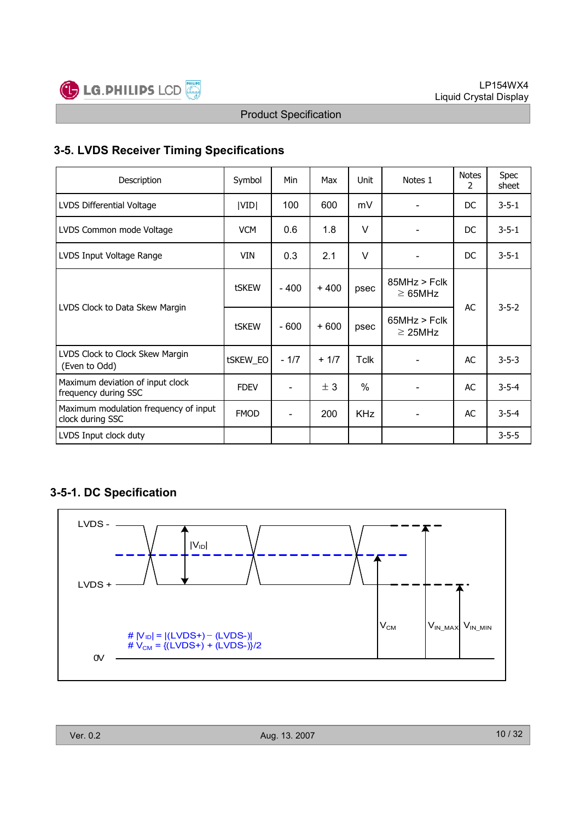

## 3-5. LVDS Receiver Timing Specifications

| Description                                               | Symbol      | <b>Min</b> | Max    | <b>Unit</b>   | Notes 1                       | <b>Notes</b><br>2 | <b>Spec</b><br>sheet |
|-----------------------------------------------------------|-------------|------------|--------|---------------|-------------------------------|-------------------|----------------------|
| LVDS Differential Voltage                                 | VID         | 100        | 600    | mV            |                               | DC.               | $3 - 5 - 1$          |
| LVDS Common mode Voltage                                  | <b>VCM</b>  | 0.6        | 1.8    | $\vee$        |                               | DC.               | $3 - 5 - 1$          |
| LVDS Input Voltage Range                                  | <b>VIN</b>  | 0.3        | 2.1    | $\vee$        |                               | DC.               | $3 - 5 - 1$          |
|                                                           | tSKEW       | $-400$     | $+400$ | psec          | 85MHz > Fclk<br>$\geq 65$ MHz | AC                | $3 - 5 - 2$          |
| LVDS Clock to Data Skew Margin                            | tSKEW       | $-600$     | $+600$ | psec          | 65MHz > Fclk<br>$\geq$ 25MHz  |                   |                      |
| LVDS Clock to Clock Skew Margin<br>(Even to Odd)          | tSKEW_EO    | $-1/7$     | $+1/7$ | Tclk          |                               | AC                | $3 - 5 - 3$          |
| Maximum deviation of input clock<br>frequency during SSC  | <b>FDEV</b> | Ξ.         | ± 3    | $\frac{0}{0}$ |                               | AC                | $3 - 5 - 4$          |
| Maximum modulation frequency of input<br>clock during SSC | <b>FMOD</b> | Ξ.         | 200    | <b>KHz</b>    |                               | AC                | $3 - 5 - 4$          |
| LVDS Input clock duty                                     |             |            |        |               |                               |                   | $3 - 5 - 5$          |

## 3-5-1. DC Specification

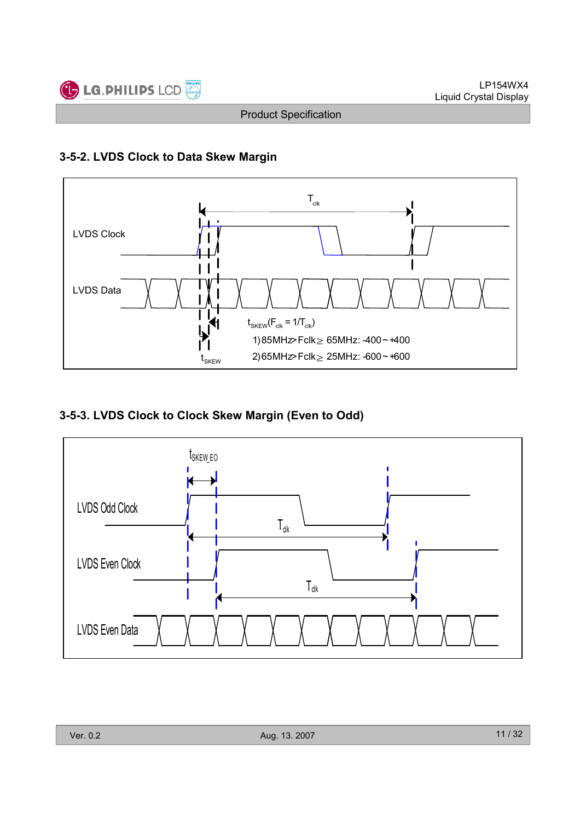

## 3-5-2. LVDS Clock to Data Skew Margin



## 3-5-3. LVDS Clock to Clock Skew Margin (Even to Odd)

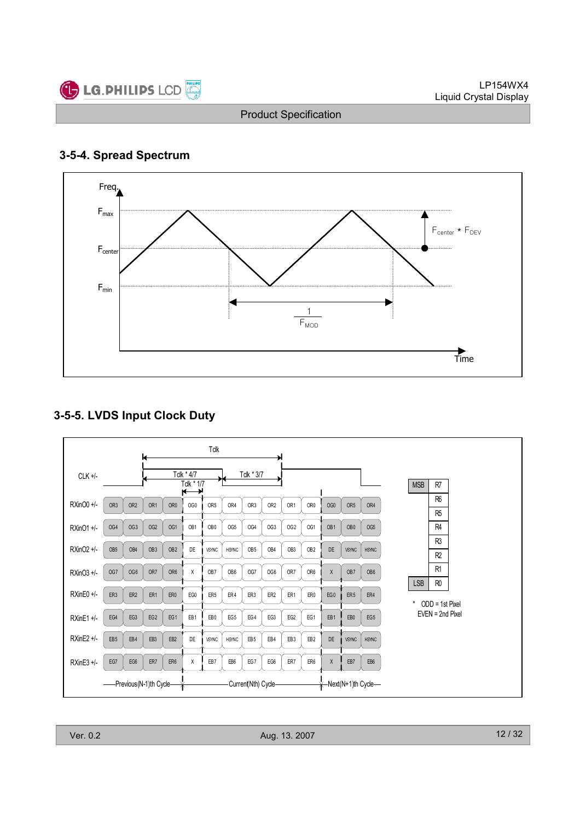

## 3-5-4. Spread Spectrum



# 3-5-5. LVDS Input Clock Duty

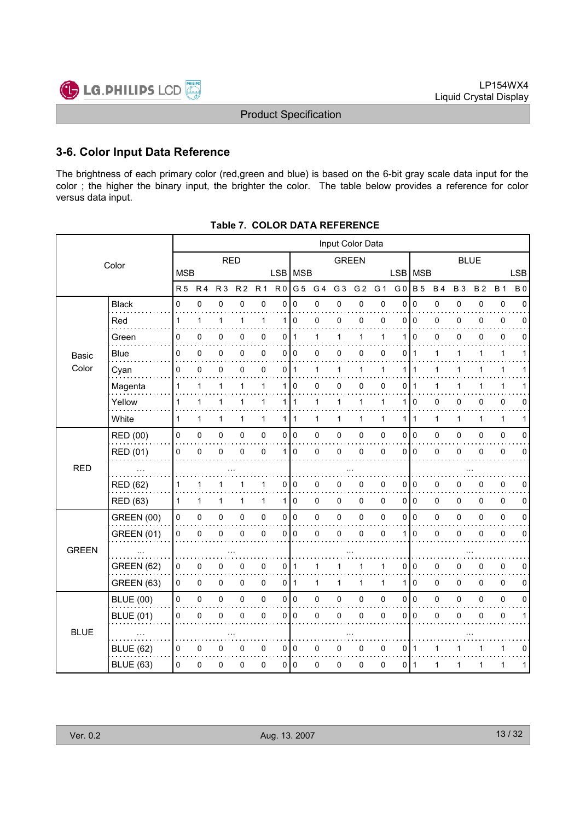

## 3-6. Color Input Data Reference

The brightness of each primary color (red,green and blue) is based on the 6-bit gray scale data input for the color ; the higher the binary input, the brighter the color. The table below provides a reference for color versus data input.

|              | Input Color Data  |              |                |                |                |                     |                |                |                |                |                |              |                |              |              |           |             |              |              |
|--------------|-------------------|--------------|----------------|----------------|----------------|---------------------|----------------|----------------|----------------|----------------|----------------|--------------|----------------|--------------|--------------|-----------|-------------|--------------|--------------|
|              | Color             |              |                | <b>RED</b>     |                |                     |                |                |                | <b>GREEN</b>   |                |              |                |              |              |           | <b>BLUE</b> |              |              |
|              |                   | <b>MSB</b>   |                |                |                |                     | LSB   MSB      |                |                |                |                |              | LSB   MSB      |              |              |           |             |              | <b>LSB</b>   |
|              |                   | <b>R5</b>    | R <sub>4</sub> | R <sub>3</sub> | R <sub>2</sub> | R <sub>1</sub>      | R <sub>0</sub> | G 5            | G <sub>4</sub> | G <sub>3</sub> | G <sub>2</sub> | G 1          | G <sub>0</sub> | <b>B</b> 5   | <b>B4</b>    | <b>B3</b> | <b>B2</b>   | <b>B</b> 1   | <b>B0</b>    |
|              | <b>Black</b>      | 0            | 0              | 0              | 0              | 0                   | 0              | 0              | 0              | 0              | 0              | 0            | 0              | $\mathbf 0$  | 0            | 0         | 0           | 0            | 0            |
|              | Red               | 1            | 1              | 1              | 1              | $\mathbf{1}$        |                | 110            | 0              | 0              | 0              | 0            | $\Omega$       | l 0          | 0            | 0         | 0           | 0            | 0            |
|              | Green             | 0            | 0              | 0              | 0              | 0                   | 0              | $\mathbf{1}$   | 1              | $\mathbf{1}$   | $\mathbf{1}$   | 1            | 1              | $\mathbf 0$  | 0            | 0         | 0           | 0            | $\Omega$     |
| <b>Basic</b> | <b>Blue</b>       | 0            | 0              | 0              | 0              | 0                   |                | 0 0            | 0              | 0              | 0              | 0            | 0              | $\mathbf{1}$ | 1            | 1         | 1           | 1            | 1            |
| Color        | Cyan              | $\Omega$     | 0              | $\pmb{0}$      | 0              | $\mathbf 0$         | 0              | $\overline{1}$ | $\mathbf{1}$   | $\mathbf{1}$   | $\mathbf{1}$   | $\mathbf{1}$ | 1              | $\mathbf{1}$ | $\mathbf{1}$ | 1         | 1           | $\mathbf{1}$ | 1            |
|              | Magenta           | 1            | 1              | 1              | 1              | 1                   | 1 <sup>1</sup> | $\mathbf 0$    | 0              | 0              | 0              | 0            | 0              | 1            | 1            | 1         |             | 1            |              |
|              | Yellow            | 1            | $\mathbf{1}$   | 1              | 1              | $\mathbf 1$         | 1              | $\overline{1}$ | 1              | 1              | 1              | 1            | 1              | 0            | 0            | 0         | 0           | 0            | 0            |
|              | White             | 1            | 1              | 1              | 1              | $\mathbf{1}$        |                | 1   1          | 1              | $\mathbf{1}$   | 1              | 1            | 1              | $\mathbf{1}$ | 1            | 1         | 1           | 1            | 1            |
|              | <b>RED (00)</b>   | 0            | 0              | $\pmb{0}$      | 0              | $\mathsf 0$         |                | 0 0            | 0              | 0              | 0              | 0            | 0              | I٥           | 0            | 0         | 0           | $\pmb{0}$    | 0            |
|              | RED (01)          | 0            | 0              | $\pmb{0}$      | 0              | $\pmb{0}$           | 1 <sup>1</sup> | 0              | 0              | 0              | 0              | 0            | $\Omega$       | l o          | 0            | 0         | 0           | $\pmb{0}$    | 0            |
| <b>RED</b>   |                   |              |                |                |                |                     |                |                |                |                |                |              |                |              |              |           |             |              |              |
|              | <b>RED (62)</b>   | 1            | 1              | 1              | 1              | $\mathbf{1}$        | 0              | l 0            | 0              | 0              | 0              | 0            | 0              | I٥           | 0            | 0         | 0           | $\pmb{0}$    | 0            |
|              | <b>RED (63)</b>   | $\mathbf{1}$ | $\mathbf{1}$   | 1              | 1              | $\mathbf{1}$        |                | 1 0            | 0              | 0              | 0              | $\Omega$     |                | 0 0          | $\pmb{0}$    | $\Omega$  | $\Omega$    | $\mathbf 0$  | $\mathbf 0$  |
|              | <b>GREEN (00)</b> | 0            | 0              | $\pmb{0}$      | 0              | $\mathsf{O}\xspace$ |                | 0 0            | 0              | $\pmb{0}$      | $\pmb{0}$      | $\mathsf 0$  | 0              | 0            | 0            | 0         | 0           | $\pmb{0}$    | $\pmb{0}$    |
|              | <b>GREEN (01)</b> | 0            | 0              | 0              | 0              | $\pmb{0}$           | 0              | 0              | 0              | 0              | $\pmb{0}$      | 0            | 1              | 0            | 0            | 0         | 0           | 0            | 0            |
| <b>GREEN</b> |                   |              |                |                |                |                     |                |                |                |                |                |              |                |              |              |           |             |              |              |
|              | <b>GREEN (62)</b> | 0            | 0              | 0              | 0              | $\mathbf 0$         | 0 1            |                | 1              | 1              | 1              | 1            | 0              | I٥           | 0            | 0         | 0           | $\pmb{0}$    | 0            |
|              | <b>GREEN (63)</b> | 0            | 0              | 0              | 0              | 0                   |                | $0$   1        | 1              | $\mathbf{1}$   | 1              | 1            | 1              | $\mathbf 0$  | $\mathbf 0$  | 0         | 0           | 0            | 0            |
|              | <b>BLUE (00)</b>  | 0            | 0              | $\pmb{0}$      | 0              | $\mathsf{O}\xspace$ |                | 0 0            | 0              | $\pmb{0}$      | $\pmb{0}$      | 0            | 0              | I٥           | $\pmb{0}$    | 0         | 0           | $\pmb{0}$    | $\pmb{0}$    |
|              | <b>BLUE (01)</b>  | 0            | $\mathbf 0$    | 0              | 0              | 0                   | 0              | 0              | 0              | 0              | 0              | $\mathbf 0$  | $\Omega$       | l o          | 0            | 0         | 0           | 0            | $\mathbf{1}$ |
| <b>BLUE</b>  |                   |              |                |                |                |                     |                |                |                |                |                |              |                |              |              |           |             |              |              |
|              | <b>BLUE (62)</b>  | 0            | 0              | 0              | 0              | 0                   |                | 010            | 0              | 0              | 0              | 0            | 0              | ∣ 1          | 1            |           |             | 1            | 0            |
|              | <b>BLUE (63)</b>  | $\Omega$     | 0              | 0              | 0              | $\pmb{0}$           |                | 010            | 0              | 0              | 0              | 0            | 0              | ∣ 1          | 1            | 1         | 1           | 1            | 1            |
|              |                   |              |                |                |                |                     |                |                |                |                |                |              |                |              |              |           |             |              |              |

| Table 7.  COLOR DATA REFERENCE |
|--------------------------------|
|                                |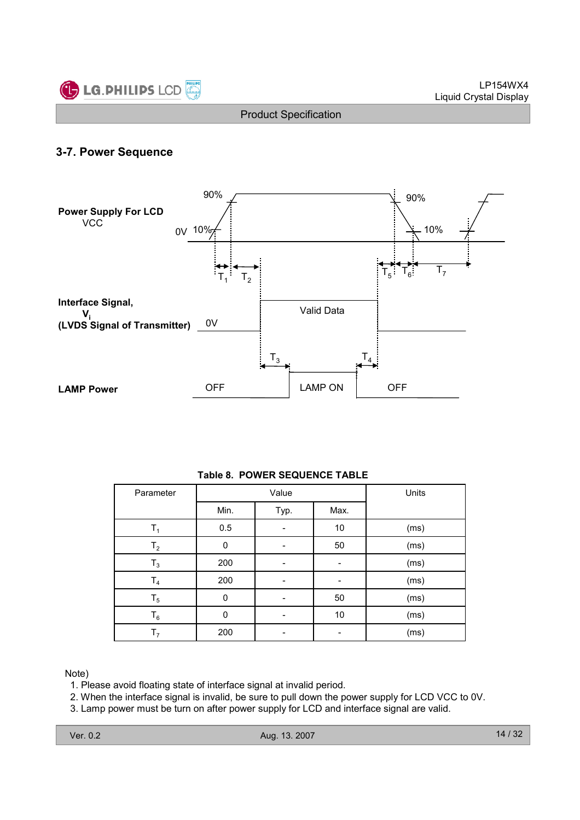

## 3-7. Power Sequence



#### Table 8. POWER SEQUENCE TABLE

| Parameter      |          | Value | Units |      |
|----------------|----------|-------|-------|------|
|                | Min.     | Typ.  | Max.  |      |
| Τ,             | 0.5      |       | 10    | (ms) |
| T <sub>2</sub> | 0        |       | 50    | (ms) |
| $T_3$          | 200      |       |       | (ms) |
| T <sub>4</sub> | 200      |       |       | (ms) |
| $T_5$          | $\Omega$ |       | 50    | (ms) |
| $\mathsf{T}_6$ | O        |       | 10    | (ms) |
| т,             | 200      |       |       | (ms) |

#### Note)

1. Please avoid floating state of interface signal at invalid period.

2. When the interface signal is invalid, be sure to pull down the power supply for LCD VCC to 0V.

3. Lamp power must be turn on after power supply for LCD and interface signal are valid.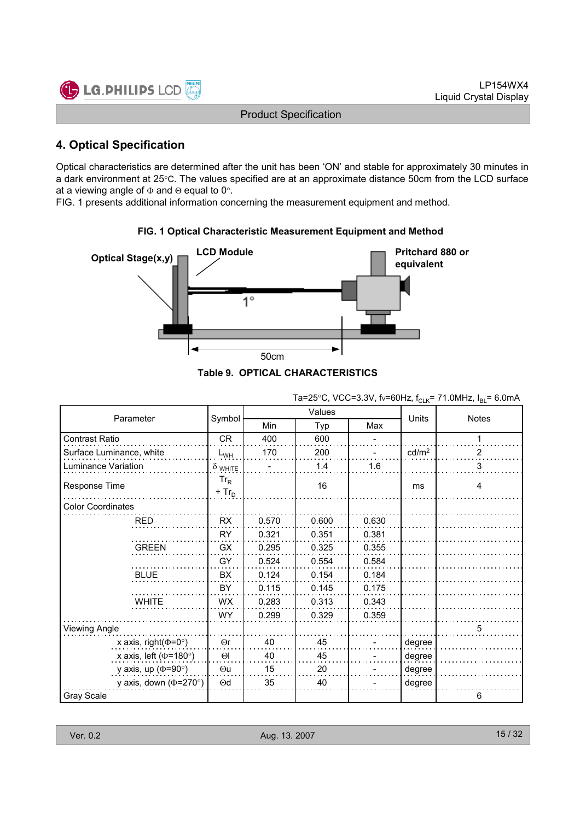

## 4. Optical Specification

Optical characteristics are determined after the unit has been 'ON' and stable for approximately 30 minutes in a dark environment at 25°C. The values specified are at an approximate distance 50cm from the LCD surface at a viewing angle of  $\Phi$  and  $\Theta$  equal to 0°.

FIG. 1 presents additional information concerning the measurement equipment and method.



#### FIG. 1 Optical Characteristic Measurement Equipment and Method

|  | 3. OF HUAL UNARAU I ERISTIUS |  |
|--|------------------------------|--|
|  |                              |  |
|  |                              |  |

|                              |                    |       |        |       | <b>ULIV</b>       |              |
|------------------------------|--------------------|-------|--------|-------|-------------------|--------------|
|                              |                    |       | Values |       |                   |              |
| Parameter                    | Symbol             | Min   | Typ    | Max   | Units             | <b>Notes</b> |
| Contrast Ratio               | <b>CR</b>          | 400   | 600    |       |                   | 1            |
| Surface Luminance, white     | $L_{WH}$           | 170   | 200    |       | cd/m <sup>2</sup> | 2            |
| Luminance Variation          | $\delta$ white     |       | 1.4    | 1.6   |                   | 3            |
| Response Time                | $Tr_R$<br>$+ Tr_D$ |       | 16     |       | ms                | 4            |
| <b>Color Coordinates</b>     |                    |       |        |       |                   |              |
| <b>RED</b>                   | <b>RX</b>          | 0.570 | 0.600  | 0.630 |                   |              |
|                              | <b>RY</b>          | 0.321 | 0.351  | 0.381 |                   |              |
| <b>GREEN</b>                 | <b>GX</b>          | 0.295 | 0.325  | 0.355 |                   |              |
|                              | GY                 | 0.524 | 0.554  | 0.584 |                   |              |
| <b>BLUE</b>                  | BX                 | 0.124 | 0.154  | 0.184 |                   |              |
|                              | BY                 | 0.115 | 0.145  | 0.175 |                   |              |
| <b>WHITE</b>                 | <b>WX</b>          | 0.283 | 0.313  | 0.343 |                   |              |
|                              | <b>WY</b>          | 0.299 | 0.329  | 0.359 |                   |              |
| Viewing Angle                |                    |       |        |       |                   | 5            |
| x axis, right( $\Phi$ =0°)   | $\Theta$ r         | 40    | 45     |       | degree            |              |
| x axis, left ( $\Phi$ =180°) | $\Theta$           | 40    | 45     |       | degree            |              |
| y axis, up ( $\Phi$ =90°)    | $\Theta$ u         | 15    | 20     |       | degree            |              |
| y axis, down ( $\Phi$ =270°) | $\Theta$ d         | 35    | 40     |       | degree            |              |
| Gray Scale                   |                    |       |        |       |                   | 6            |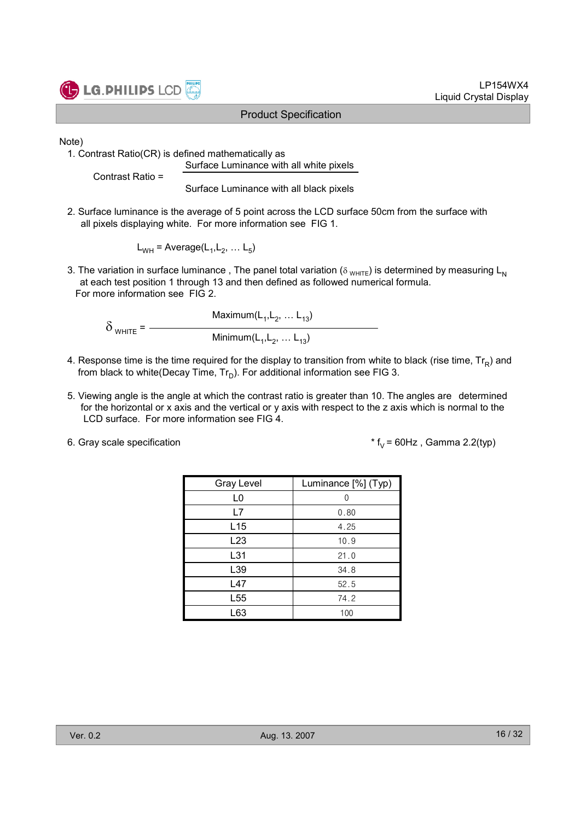

LP154WX4 Liquid Crystal Display

Note)

1. Contrast Ratio(CR) is defined mathematically as Surface Luminance with all white pixels

Contrast Ratio =

Surface Luminance with all black pixels

2. Surface luminance is the average of 5 point across the LCD surface 50cm from the surface with all pixels displaying white. For more information see FIG 1.

 $L_{WH}$  = Average( $L_1, L_2, ... L_5$ )

3. The variation in surface luminance, The panel total variation ( $\delta_{WHTE}$ ) is determined by measuring L<sub>N</sub> at each test position 1 through 13 and then defined as followed numerical formula. For more information see FIG 2.

Maximum $(L_1, L_2, ... L_{13})$  $\delta$  <sub>WHITE</sub> =  $-$ Minimum $(\mathsf{L}_1, \mathsf{L}_2, \ldots \mathsf{L}_{13})$ 

- 4. Response time is the time required for the display to transition from white to black (rise time,  $\mathsf{Tr}_{\mathsf{R}}$ ) and from black to white(Decay Time,  $\mathsf{Tr}_{\mathsf{D}}$ ). For additional information see FIG 3.
- 5. Viewing angle is the angle at which the contrast ratio is greater than 10. The angles are determined for the horizontal or x axis and the vertical or y axis with respect to the z axis which is normal to the LCD surface. For more information see FIG 4.
- 

6. Gray scale specification  $* f_V = 60Hz$ , Gamma 2.2(typ)

| <b>Gray Level</b> | Luminance [%] (Typ) |
|-------------------|---------------------|
| L0                |                     |
| L7                | 0.80                |
| L15               | 4.25                |
| L23               | 10.9                |
| L31               | 21.0                |
| L39               | 34.8                |
| L47               | 52.5                |
| L <sub>55</sub>   | 74.2                |
| L63               | 100                 |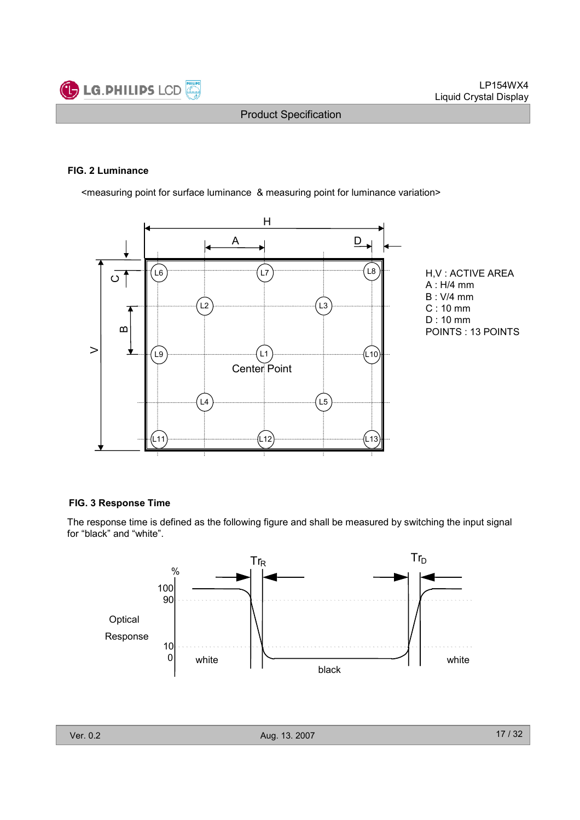

#### FIG. 2 Luminance

<measuring point for surface luminance & measuring point for luminance variation>



H,V : ACTIVE AREA A : H/4 mm B : V/4 mm C : 10 mm D : 10 mm POINTS : 13 POINTS

#### FIG. 3 Response Time

The response time is defined as the following figure and shall be measured by switching the input signal for "black" and "white".

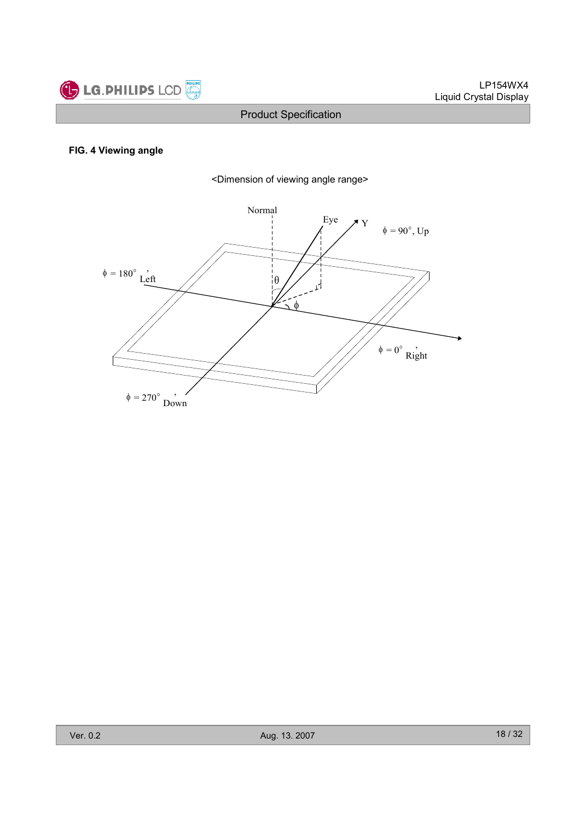

#### FIG. 4 Viewing angle



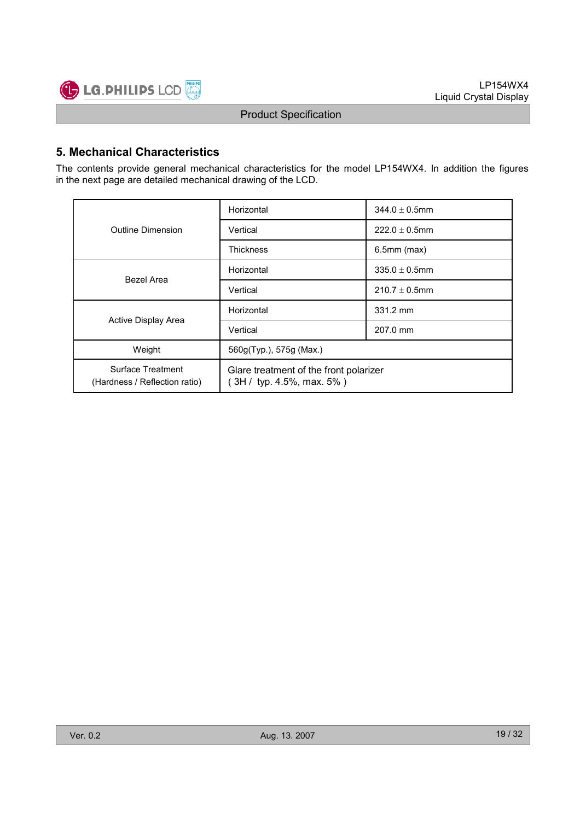

## 5. Mechanical Characteristics

The contents provide general mechanical characteristics for the model LP154WX4. In addition the figures in the next page are detailed mechanical drawing of the LCD.

|                                                    | Horizontal                                                           | $344.0 \pm 0.5$ mm |  |  |  |
|----------------------------------------------------|----------------------------------------------------------------------|--------------------|--|--|--|
| Outline Dimension                                  | Vertical                                                             | $222.0 \pm 0.5$ mm |  |  |  |
|                                                    | <b>Thickness</b>                                                     | $6.5$ mm $(max)$   |  |  |  |
| Bezel Area                                         | Horizontal                                                           | $335.0 \pm 0.5$ mm |  |  |  |
|                                                    | Vertical                                                             | $210.7 \pm 0.5$ mm |  |  |  |
|                                                    | Horizontal                                                           | 331.2 mm           |  |  |  |
| Active Display Area                                | Vertical                                                             | 207.0 mm           |  |  |  |
| Weight                                             | 560g(Typ.), 575g (Max.)                                              |                    |  |  |  |
| Surface Treatment<br>(Hardness / Reflection ratio) | Glare treatment of the front polarizer<br>$3H /$ typ. 4.5%, max. 5%) |                    |  |  |  |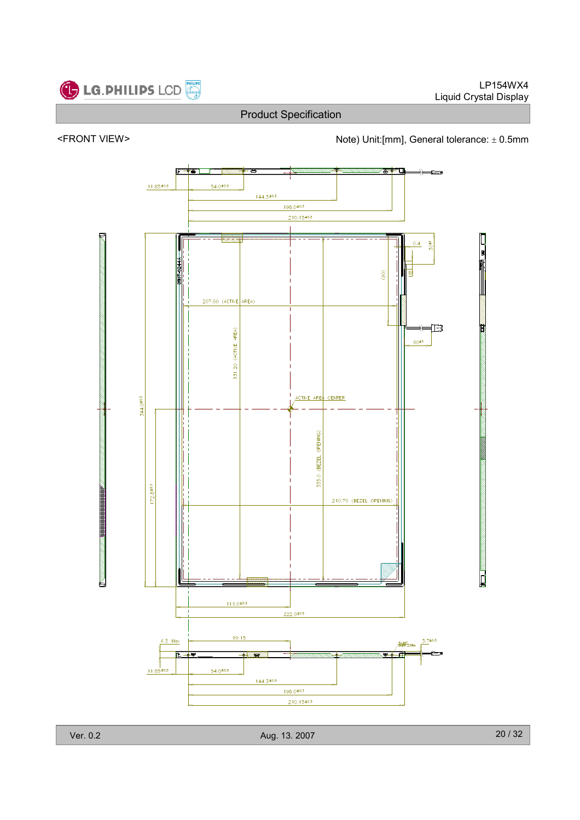



<FRONT VIEW><br>Note) Unit:[mm], General tolerance: ± 0.5mm

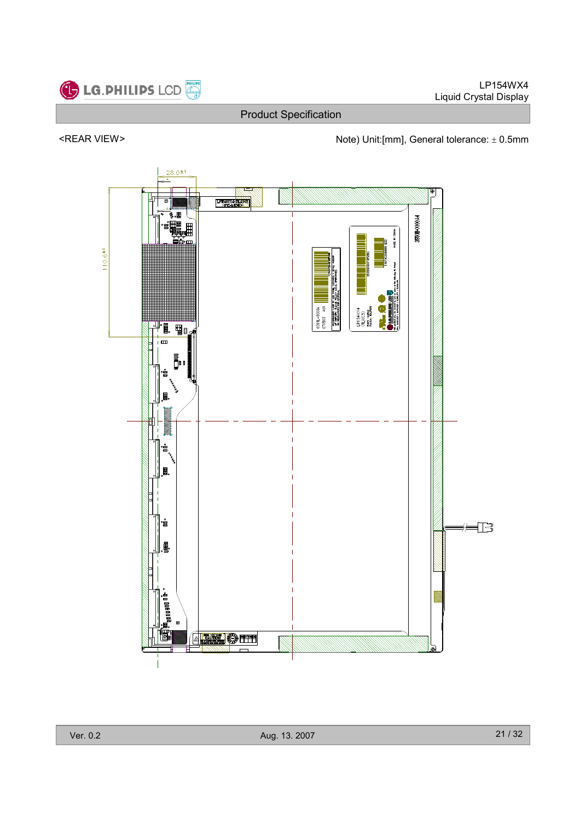

LP154WX4 Liquid Crystal Display

Product Specification

## <REAR VIEW> Note) Unit:[mm], General tolerance: ± 0.5mm

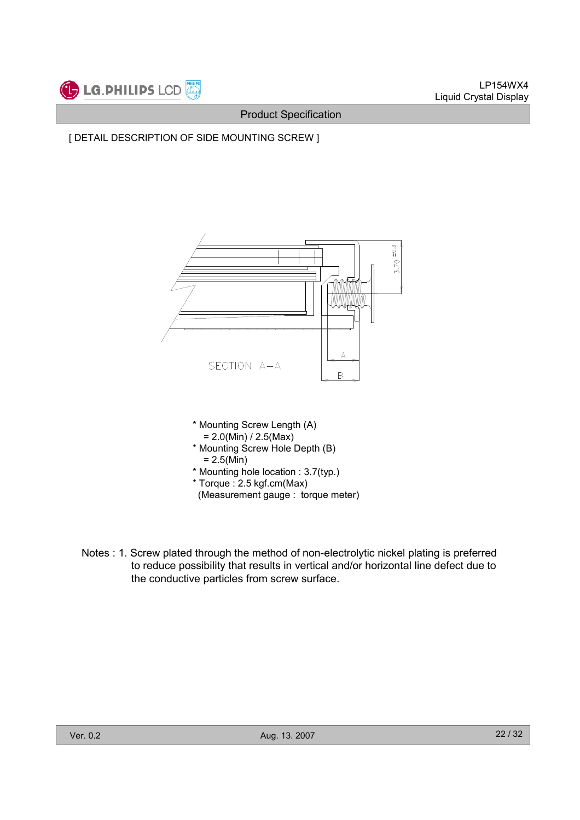





- (Measurement gauge : torque meter)
- Notes : 1. Screw plated through the method of non-electrolytic nickel plating is preferred to reduce possibility that results in vertical and/or horizontal line defect due to the conductive particles from screw surface.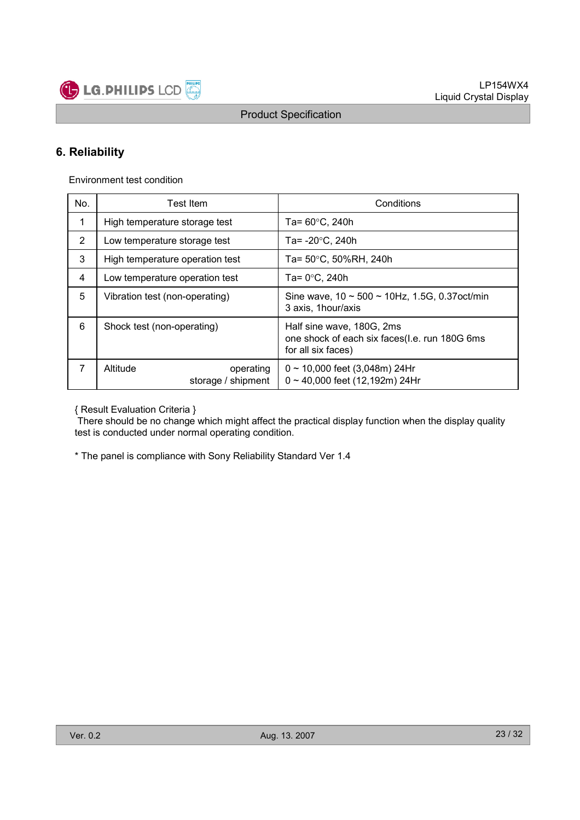

## 6. Reliability

Environment test condition

| No.            | Test Item                                   | Conditions                                                                                       |  |  |
|----------------|---------------------------------------------|--------------------------------------------------------------------------------------------------|--|--|
| 1              | High temperature storage test               | Ta= 60°C, 240h                                                                                   |  |  |
| $\overline{2}$ | Low temperature storage test                | Ta= $-20^{\circ}$ C, 240h                                                                        |  |  |
| 3              | High temperature operation test             | Ta= 50°C, 50%RH, 240h                                                                            |  |  |
| 4              | Low temperature operation test              | Ta= $0^{\circ}$ C, 240h                                                                          |  |  |
| 5              | Vibration test (non-operating)              | Sine wave, $10 \sim 500 \sim 10$ Hz, 1.5G, 0.37 oct/min<br>3 axis, 1 hour/axis                   |  |  |
| 6              | Shock test (non-operating)                  | Half sine wave, 180G, 2ms<br>one shock of each six faces(I.e. run 180G 6ms<br>for all six faces) |  |  |
| 7              | Altitude<br>operating<br>storage / shipment | $0 \sim 10,000$ feet (3,048m) 24Hr<br>$0 \sim 40,000$ feet (12,192m) 24Hr                        |  |  |

{ Result Evaluation Criteria }

There should be no change which might affect the practical display function when the display quality test is conducted under normal operating condition.

\* The panel is compliance with Sony Reliability Standard Ver 1.4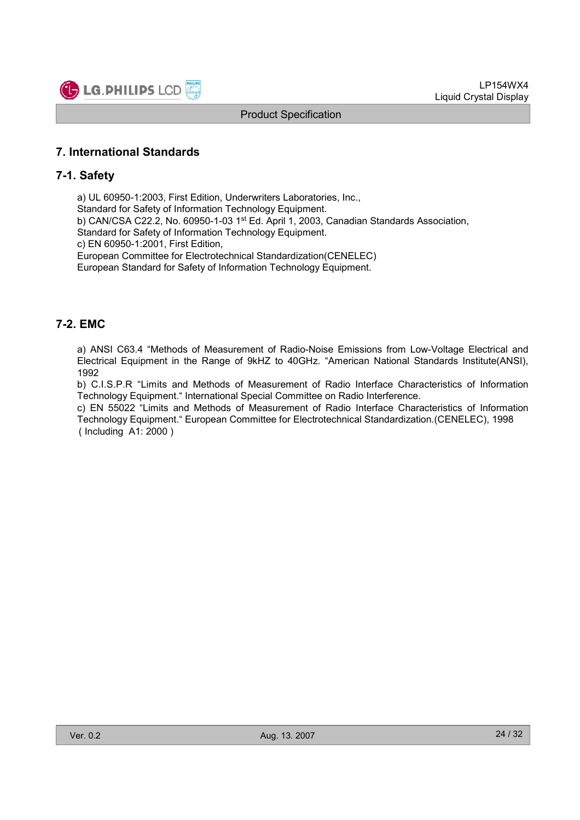

## 7. International Standards

#### 7-1. Safety

a) UL 60950-1:2003, First Edition, Underwriters Laboratories, Inc., Standard for Safety of Information Technology Equipment. b) CAN/CSA C22.2, No. 60950-1-03 1st Ed. April 1, 2003, Canadian Standards Association, Standard for Safety of Information Technology Equipment. c) EN 60950-1:2001, First Edition, European Committee for Electrotechnical Standardization(CENELEC) European Standard for Safety of Information Technology Equipment.

## 7-2. EMC

a) ANSI C63.4 "Methods of Measurement of Radio-Noise Emissions from Low-Voltage Electrical and Electrical Equipment in the Range of 9kHZ to 40GHz. "American National Standards Institute(ANSI), 1992

b) C.I.S.P.R "Limits and Methods of Measurement of Radio Interface Characteristics of Information Technology Equipment." International Special Committee on Radio Interference.

c) EN 55022 "Limits and Methods of Measurement of Radio Interface Characteristics of Information Technology Equipment." European Committee for Electrotechnical Standardization.(CENELEC), 1998 ( Including A1: 2000 )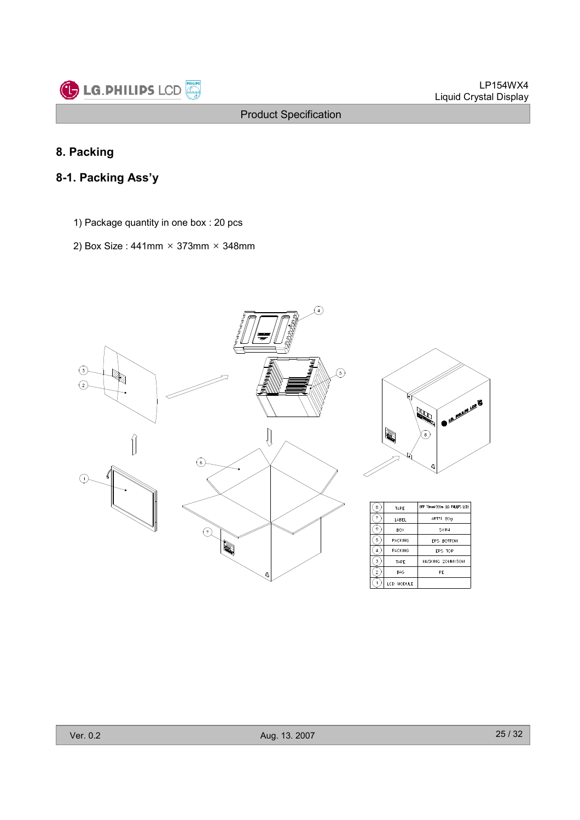

## 8. Packing

## 8-1. Packing Ass'y

- 1) Package quantity in one box : 20 pcs
- 2) Box Size : 441mm  $\times$  373mm  $\times$  348mm

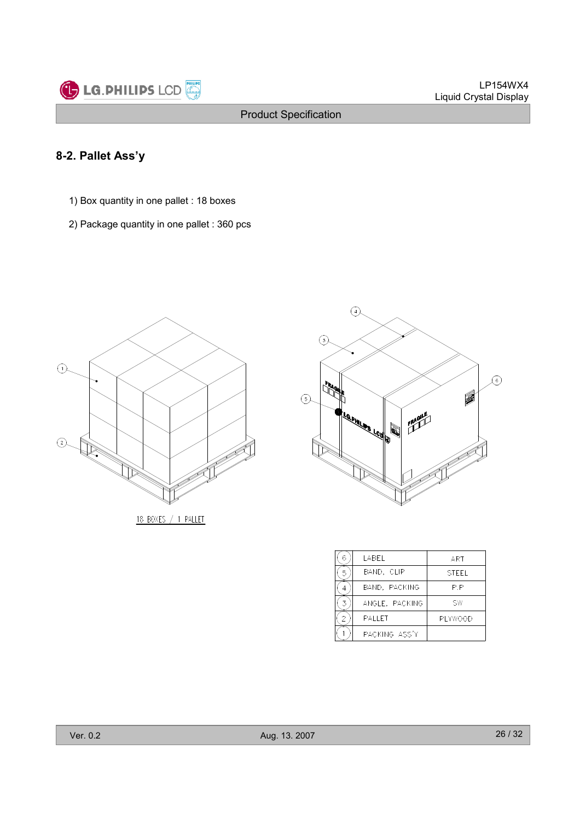

## 8-2. Pallet Ass'y

- 1) Box quantity in one pallet : 18 boxes
- 2) Package quantity in one pallet : 360 pcs



18 BOXES / 1 PALLET



| 6 | LABEL          | ART          |
|---|----------------|--------------|
|   | BAND, CLIP     | <b>STFFI</b> |
|   | BAND, PACKING  | P.P          |
|   | ANGLE, PACKING | SW           |
| 2 | <b>PALLET</b>  | PI YWOOD     |
|   | PACKING ASS'Y  |              |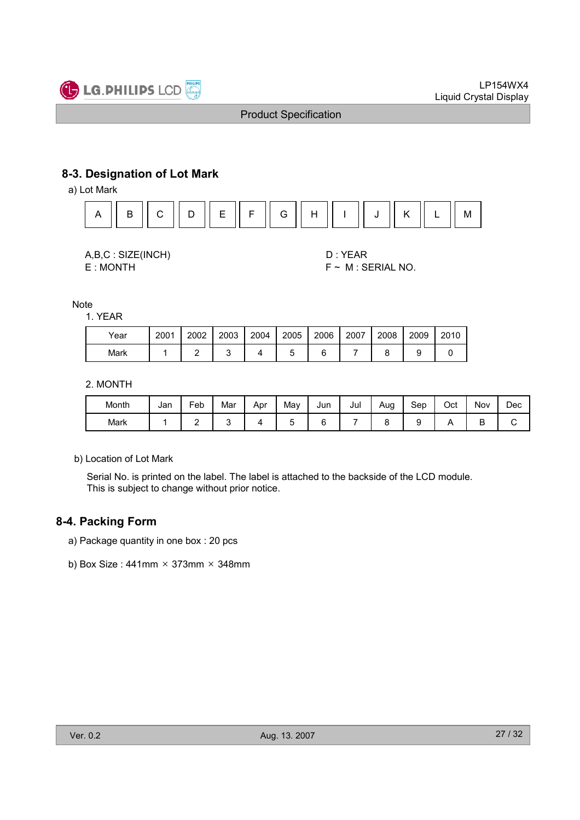

## 8-3. Designation of Lot Mark

a) Lot Mark



A,B,C : SIZE(INCH) D : YEAR E : MONTH F ~ M : SERIAL NO.

Note

1. YEAR

| Year | 2001 | 2002 | 2003 | 2004 | 2005 | 2006 | 2007 | 2008 | 2009 | 2010 |
|------|------|------|------|------|------|------|------|------|------|------|
| Mark |      |      |      |      |      |      |      |      |      |      |

#### 2. MONTH

| Month | Jan | Feb | Mar | Apr | May | Jun | Jul | Aug<br>ت. | Sep | Oct | Nov | Dec |
|-------|-----|-----|-----|-----|-----|-----|-----|-----------|-----|-----|-----|-----|
| Mark  |     | -   |     |     |     | ∽   |     |           |     |     | ◡   | ີ   |

b) Location of Lot Mark

Serial No. is printed on the label. The label is attached to the backside of the LCD module. This is subject to change without prior notice.

## 8-4. Packing Form

- a) Package quantity in one box : 20 pcs
- b) Box Size:  $441$ mm  $\times$  373mm  $\times$  348mm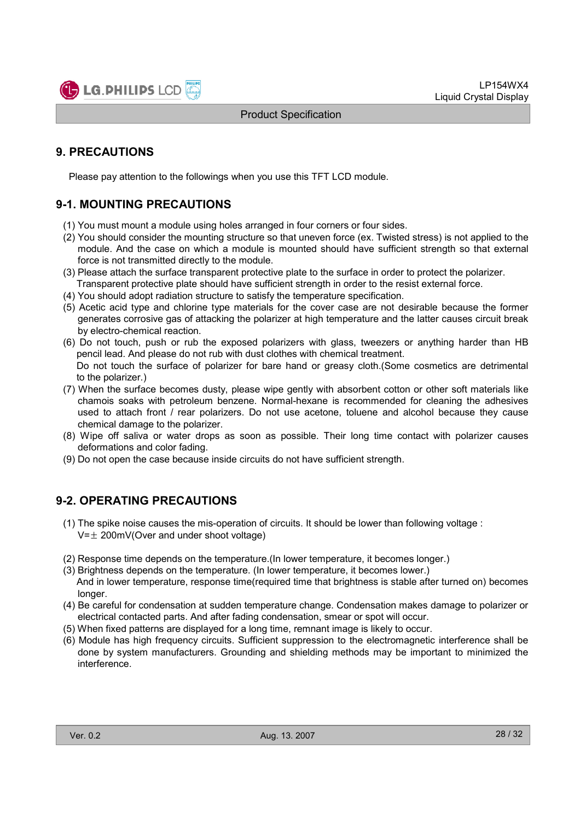

## 9. PRECAUTIONS

Please pay attention to the followings when you use this TFT LCD module.

## 9-1. MOUNTING PRECAUTIONS

- (1) You must mount a module using holes arranged in four corners or four sides.
- (2) You should consider the mounting structure so that uneven force (ex. Twisted stress) is not applied to the module. And the case on which a module is mounted should have sufficient strength so that external force is not transmitted directly to the module.
- (3) Please attach the surface transparent protective plate to the surface in order to protect the polarizer. Transparent protective plate should have sufficient strength in order to the resist external force.
- (4) You should adopt radiation structure to satisfy the temperature specification.
- (5) Acetic acid type and chlorine type materials for the cover case are not desirable because the former generates corrosive gas of attacking the polarizer at high temperature and the latter causes circuit break by electro-chemical reaction.
- (6) Do not touch, push or rub the exposed polarizers with glass, tweezers or anything harder than HB pencil lead. And please do not rub with dust clothes with chemical treatment. Do not touch the surface of polarizer for bare hand or greasy cloth.(Some cosmetics are detrimental to the polarizer.)
- (7) When the surface becomes dusty, please wipe gently with absorbent cotton or other soft materials like chamois soaks with petroleum benzene. Normal-hexane is recommended for cleaning the adhesives used to attach front / rear polarizers. Do not use acetone, toluene and alcohol because they cause chemical damage to the polarizer.
- (8) Wipe off saliva or water drops as soon as possible. Their long time contact with polarizer causes deformations and color fading.
- (9) Do not open the case because inside circuits do not have sufficient strength.

## 9-2. OPERATING PRECAUTIONS

- (1) The spike noise causes the mis-operation of circuits. It should be lower than following voltage :  $V=\pm 200$ mV(Over and under shoot voltage)
- (2) Response time depends on the temperature.(In lower temperature, it becomes longer.)
- (3) Brightness depends on the temperature. (In lower temperature, it becomes lower.) And in lower temperature, response time(required time that brightness is stable after turned on) becomes longer.
- (4) Be careful for condensation at sudden temperature change. Condensation makes damage to polarizer or electrical contacted parts. And after fading condensation, smear or spot will occur.
- (5) When fixed patterns are displayed for a long time, remnant image is likely to occur.
- (6) Module has high frequency circuits. Sufficient suppression to the electromagnetic interference shall be done by system manufacturers. Grounding and shielding methods may be important to minimized the interference.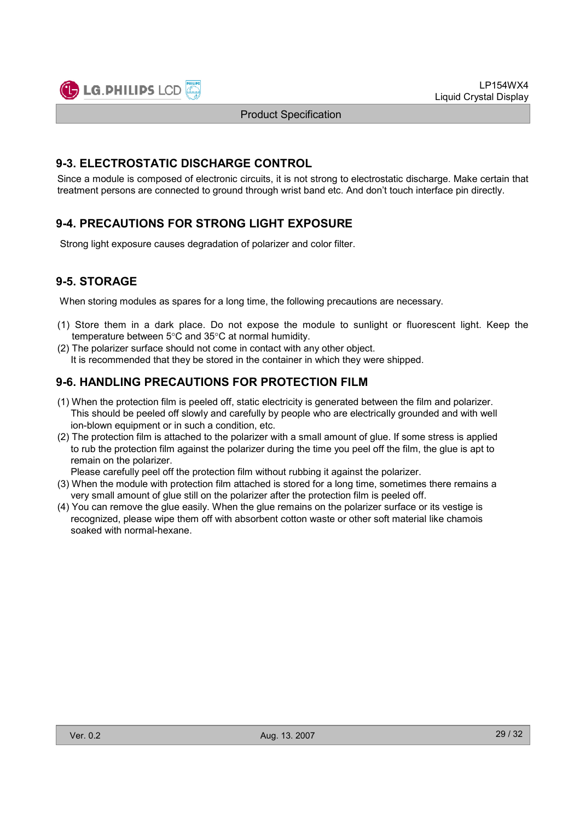

## 9-3. ELECTROSTATIC DISCHARGE CONTROL

Since a module is composed of electronic circuits, it is not strong to electrostatic discharge. Make certain that treatment persons are connected to ground through wrist band etc. And don't touch interface pin directly.

## 9-4. PRECAUTIONS FOR STRONG LIGHT EXPOSURE

Strong light exposure causes degradation of polarizer and color filter.

## 9-5. STORAGE

When storing modules as spares for a long time, the following precautions are necessary.

- (1) Store them in a dark place. Do not expose the module to sunlight or fluorescent light. Keep the temperature between 5°C and 35°C at normal humidity.
- (2) The polarizer surface should not come in contact with any other object. It is recommended that they be stored in the container in which they were shipped.

## 9-6. HANDLING PRECAUTIONS FOR PROTECTION FILM

- (1) When the protection film is peeled off, static electricity is generated between the film and polarizer. This should be peeled off slowly and carefully by people who are electrically grounded and with well ion-blown equipment or in such a condition, etc.
- (2) The protection film is attached to the polarizer with a small amount of glue. If some stress is applied to rub the protection film against the polarizer during the time you peel off the film, the glue is apt to remain on the polarizer.

Please carefully peel off the protection film without rubbing it against the polarizer.

- (3) When the module with protection film attached is stored for a long time, sometimes there remains a very small amount of glue still on the polarizer after the protection film is peeled off.
- (4) You can remove the glue easily. When the glue remains on the polarizer surface or its vestige is recognized, please wipe them off with absorbent cotton waste or other soft material like chamois soaked with normal-hexane.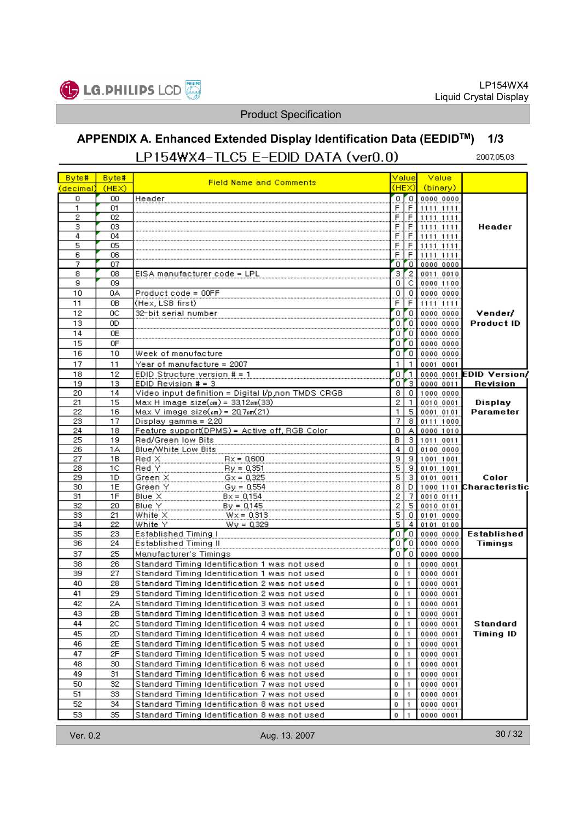

#### APPENDIX A. Enhanced Extended Display Identification Data (EEDIDTM) 1/3LP154WX4-TLC5 E-EDID DATA (ver0.0) 2007,05,03

| Byte#        | Byte#          |                                                    |                     | Value                    | <b>Value</b>                                                                                                                                 |                                   |
|--------------|----------------|----------------------------------------------------|---------------------|--------------------------|----------------------------------------------------------------------------------------------------------------------------------------------|-----------------------------------|
| (decimal)    | (HEX)          | <b>Field Name and Comments</b>                     |                     |                          | (HEX) (binary)                                                                                                                               |                                   |
| 0            | 00             | Header                                             | 0                   |                          |                                                                                                                                              |                                   |
| 1            | 01             |                                                    | F.                  |                          | $\begin{tabular}{ c c c c c } \hline F&1111&1111&1111\\ \hline F&1111&1111\\ \hline F&1111&1111\\ \hline F&1111&1111\\ \hline \end{tabular}$ |                                   |
| $\mathbf{2}$ | 02             |                                                    | F                   |                          |                                                                                                                                              |                                   |
| 3            | 03             |                                                    | $\overline{E}$      |                          |                                                                                                                                              | Header                            |
| 4            | 04             |                                                    | F                   |                          |                                                                                                                                              |                                   |
| 5            | 05             |                                                    | F.                  | $\overline{F}$           | 1111 1111                                                                                                                                    |                                   |
| 6            | 06             |                                                    | F                   |                          | $F$ 1111 1111                                                                                                                                |                                   |
| 7<br>8       | 07             |                                                    | ο                   | $\overline{\phantom{a}}$ | 0000 0000                                                                                                                                    |                                   |
| 9            | 08<br>09       | EISA manufacturer code = LPL                       | 3<br>0              | $\overline{2}$<br> C     | 0011 0010<br>0000 1100                                                                                                                       |                                   |
| 10           | 0A             | Product code = 00FF                                | 0                   | $\vert$ 0                | 0000 0000                                                                                                                                    |                                   |
| 11           | 0B             | (Hex, LSB first)                                   |                     | $\overline{F}$           | 1111 1111                                                                                                                                    |                                   |
| 12           | 0C             | 32-bit serial number                               | ο                   | $\sigma$                 | 0000 0000                                                                                                                                    | Vender/                           |
| 13           | OD.            |                                                    | ο                   | $\sim$                   | 0000 0000                                                                                                                                    | <b>Product ID</b>                 |
| 14           | 0E             |                                                    | 0                   | $\sim$                   | 0000 0000                                                                                                                                    |                                   |
| 15           | 0F             |                                                    | 0                   | $\overline{0}$           | 0000 0000                                                                                                                                    |                                   |
| 16           | 10             | Week of manufacture                                | 0                   | $\overline{0}$           | 0000 0000                                                                                                                                    |                                   |
| 17           | 11             | Year of manufacture = 2007                         | 1.                  | $\mathbf{1}$             | 0001 0001                                                                                                                                    |                                   |
| 18           | 12             | EDID Structure version # = 1                       | $\overline{0}$      | r 1 I                    |                                                                                                                                              | 0000 0001 EDID Version            |
| 19           | 13             | EDID Revision # = 3                                | 0                   |                          | 3   0000 0011                                                                                                                                | <b>Revision</b>                   |
| 20           | 14             | Video input definition = Digital I/p,non TMDS CRGB | 8.                  |                          | 0 1000 0000                                                                                                                                  |                                   |
| 21           | 15             | $Max H image size(em) = 33,12cm(33)$               | $\overline{2}$      | $\mathbf{1}$             | 0010 0001                                                                                                                                    | Display                           |
| 22           | 16             | $Max V$ image size( $cm$ ) = 20,7 $cm(21)$         | 1                   |                          | 5 0001 0101                                                                                                                                  | Parameter                         |
| 23           | 17             | Display gamma = 220                                | 7                   |                          | 8 0111 1000                                                                                                                                  |                                   |
| 24           | 18             | Feature support(DPMS) = Active off, RGB Color      | 0                   |                          | A 0000 1010                                                                                                                                  |                                   |
| 25           | 19             | Red/Green low Bits                                 | В                   |                          | 3 1011 0011                                                                                                                                  |                                   |
| 26           | 1А             | Blue/White Low Bits                                | 4                   |                          | 0 0100 0000                                                                                                                                  |                                   |
| 27           | 18             | $Red \times$<br>$Rx = 0.600$                       | $\overline{a}$      |                          | $\begin{array}{ c c c c }\n\hline\n9 & 1001 & 1001 \\ \hline\n9 & 0101 & 1001 \\ \hline\n3 & 0101 & 0011 \\ \hline\n\end{array}$             |                                   |
| 28           | 1 <sup>C</sup> | Red Y<br>$By = 0.351$                              | $\frac{5}{5}$       |                          |                                                                                                                                              |                                   |
| 29<br>30     | 1D.<br>1E      | $Gx = 0,325$<br>Green X<br>Green Y                 |                     | D                        | 0101 0011                                                                                                                                    | Color<br>1000 1101 Characteristic |
| 31           | 1F             | $Gy = 0.554$<br>Blue X<br>$Bx = 0,154$             | $\overline{a}$<br>2 |                          |                                                                                                                                              |                                   |
| 32           | 20             | Blue Y<br>$By = 0.145$                             |                     |                          | $\begin{array}{r l} 7 & 0010 & 0111 \\ \hline 5 & 0010 & 0101 \\ \hline 0 & 0101 & 0000 \\ \hline \end{array}$                               |                                   |
| 33           | 21             | White $\times$<br>$Wx = 0,313$                     | $\frac{2}{5}$       |                          |                                                                                                                                              |                                   |
| 34           | 22             | White Y<br>$Wy = 0,329$                            |                     |                          | 4 0101 0100                                                                                                                                  |                                   |
| 35           | 23             | <b>Established Timing I</b>                        | O.                  | $\overline{0}$           | 0000 0000                                                                                                                                    | Established                       |
| 36           | 24             | <b>Established Timing II</b>                       | 0                   | o.                       | 0000 0000                                                                                                                                    | Timings                           |
| 37           | 25             | Manufacturer's Timings                             | 0                   |                          | 0   0000   0000                                                                                                                              |                                   |
| 38           | 26             | Standard Timing Identification 1 was not used      | 0                   | 1.                       | 0000 0001                                                                                                                                    |                                   |
| 39           | 27             | Standard Timing Identification 1 was not used      | 0                   | 1.                       | 0000 0001                                                                                                                                    |                                   |
| 40           | 28             | Standard Timing Identification 2 was not used      | 0                   | 1.                       | 0000 0001                                                                                                                                    |                                   |
| 41           | 29             | Standard Timing Identification 2 was not used      | 0                   | 1.                       | 0000 0001                                                                                                                                    |                                   |
| 42           | 2A             | Standard Timing Identification 3 was not used      | 0                   |                          | 0000 0001                                                                                                                                    |                                   |
| 43           | 2В             | Standard Timing Identification 3 was not used      | 0                   | 1                        | 0000 0001                                                                                                                                    |                                   |
| 44           | 2C             | Standard Timing Identification 4 was not used      | 0                   | 1.                       | 0000 0001                                                                                                                                    | Standard                          |
| 45           | 2D             | Standard Timing Identification 4 was not used      | 0                   | 1.                       | 0000 0001                                                                                                                                    | <b>Timing ID</b>                  |
| 46           | 2Е             | Standard Timing Identification 5 was not used      | 0                   | 1.                       | 0000 0001                                                                                                                                    |                                   |
| 47           | 2F             | Standard Timing Identification 5 was not used      | 0                   | 1.                       | 0000 0001                                                                                                                                    |                                   |
| 48           | 30             | Standard Timing Identification 6 was not used      | 0                   | 1.                       | 0000 0001                                                                                                                                    |                                   |
| 49           | 31             | Standard Timing Identification 6 was not used      | о                   | 1.                       | 0000 0001                                                                                                                                    |                                   |
| 50           | 32             | Standard Timing Identification 7 was not used      | 0                   | 1.                       | 0000 0001                                                                                                                                    |                                   |
| 51           | 33             | Standard Timing Identification 7 was not used      | 0                   | 1.                       | 0000 0001                                                                                                                                    |                                   |
| 52           | 34             | Standard Timing Identification 8 was not used      | 0                   |                          | 0000 0001                                                                                                                                    |                                   |
| 53           | 35             | Standard Timing Identification 8 was not used      | 0                   |                          | 0000 0001                                                                                                                                    |                                   |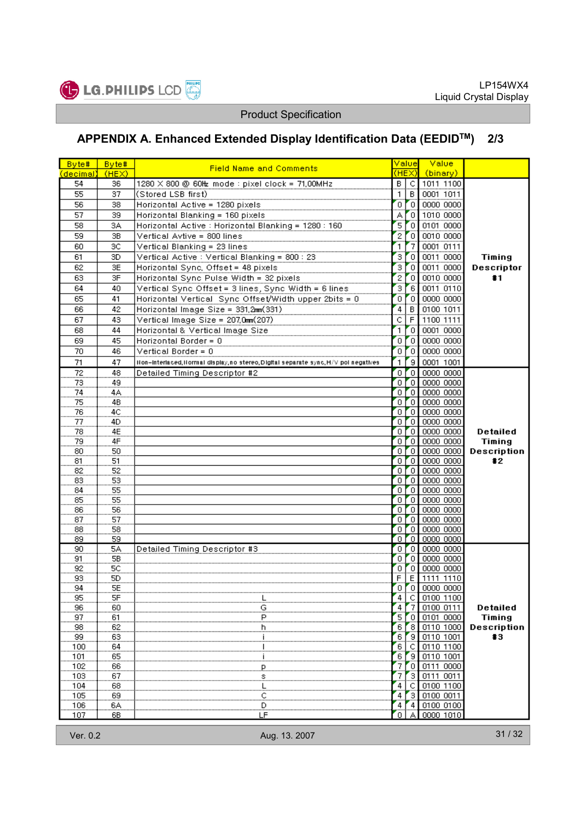

# APPENDIX A. Enhanced Extended Display Identification Data (EEDIDTM) 2/3

| Byte#                 | Byte#                | <b>Field Name and Comments</b>                                                      | Valuel<br>(HEX) |                                     | Value                          |                 |
|-----------------------|----------------------|-------------------------------------------------------------------------------------|-----------------|-------------------------------------|--------------------------------|-----------------|
| (decimal)             | (HEX)                |                                                                                     |                 |                                     | (binary)                       |                 |
| 54                    | 36                   | 1280 × 800 @ 60Hz mode : pixel clock = 71,00MHz                                     |                 |                                     | B C 1011 1100<br>1 B 0001 1011 |                 |
| 55                    | 37                   | (Stored LSB first)                                                                  |                 |                                     |                                |                 |
| 56                    | 38                   | Horizontal Active = 1280 pixels                                                     | Ō.              | Ő                                   | 0000 0000                      |                 |
| 57                    | 39                   | Horizontal Blanking = 160 pixels _________                                          | А               | Ő                                   | 1010 0000                      |                 |
| 58                    | 3A                   | Horizontal Active : Horizontal Blanking = 1280 : 160                                | 5               | Ő                                   | 0101 0000                      |                 |
| 59                    | 3B                   | Vertical Avtive = 800 lines                                                         | $\overline{2}$  | Ő                                   | 0010 0000                      |                 |
| 60                    | 3C                   | Vertical Blanking = 23 lines                                                        | 1               | 7                                   | 0001 0111                      |                 |
| 61                    | 3D                   | Vertical Active : Vertical Blanking = 800 : 23                                      | з               | ő                                   | 0011 0000                      | Timing          |
| 62                    | 3E                   | Horizontal Sync, Offset = 48 pixels                                                 | з               | Ő                                   | 0011 0000                      | Descriptor      |
| 63                    | 3F                   | Horizontal Sync Pulse Width = 32 pixels                                             | 2               | $\overline{0}$                      | 0010 0000                      | #1              |
| 64                    | 40                   | Vertical Sync Offset = 3 lines, Sync Width = 6 lines                                | 3               | 6                                   | 0011 0110                      |                 |
| 65                    | 41                   | Horizontal Vertical Sync Offset/Width upper 2bits = 0                               | ō               | $\mathbf{r}_0$                      | 0000 0000                      |                 |
| 66                    | 42                   | Horizontal Image Size = 331,2mm(331)                                                | 4               | B                                   | 0100 1011                      |                 |
| 67                    | 43                   | Vertical Image Size = 207,0mm(207)                                                  | c               | Ŧ                                   | 1100 1111                      |                 |
| 68                    | 44                   | Horizontal & Vertical Image Size                                                    | 1               | Ő                                   | 0001 0000                      |                 |
| 69                    | 45                   | Horizontal Border = 0                                                               | 0               | Ō                                   | 0000 0000                      |                 |
| 70                    | 46                   | Vertical Border = $0$                                                               | 0               | Ő                                   | 0000 0000                      |                 |
| 71                    | 47                   | Non-interlaced, Normal display, no stereo, Digital separate sync, H/V pol negatives | 1               | e,                                  | 0001 1001                      |                 |
| 72                    | 48                   | Detailed Timing Descriptor #2                                                       | 0               | Zo l                                | 0000 0000                      |                 |
| 73                    | 49                   |                                                                                     | O.              |                                     | $0$ 0000 0000                  |                 |
| 74                    | 4A                   |                                                                                     | 0               |                                     | $0$ 0000 0000                  |                 |
| 75                    | 4B                   |                                                                                     | $\overline{0}$  | $\sim$                              | 0000 0000                      |                 |
| 76                    | 4C                   |                                                                                     | O.              |                                     | $0$ 0000 0000                  |                 |
| 77                    | 4D                   |                                                                                     | O.              |                                     | 0   0000 0000                  |                 |
| $\frac{78}{2}$        | 4E                   |                                                                                     | ο               | r o I                               | 0000 0000                      | Detailed        |
| 79                    | 4F                   |                                                                                     | 0               | $\sim$                              | 0000 0000                      | <b>Timing</b>   |
| 80                    | 50                   |                                                                                     | 0               |                                     | $0$ 0000 0000                  | Description     |
| 81                    | 51                   |                                                                                     | ٥.              | $\sim$                              | 0000 0000                      | $\pm 2$         |
| 82                    | 52                   |                                                                                     | O.              | 7o j                                | 0000 0000                      |                 |
| 83                    | 53                   |                                                                                     | 0               |                                     | 0 0000 0000                    |                 |
| 84                    | 55                   |                                                                                     | O.              | $\sim$                              | 0000 0000                      |                 |
| 85                    | 55                   |                                                                                     | 0.              |                                     | $\bigcirc$ 00000 0000          |                 |
| 86                    | 56                   |                                                                                     | 0               |                                     | $0$ 0000 0000                  |                 |
| 87                    | 57                   |                                                                                     | ο               | $\sim$                              | 0000 0000                      |                 |
| 88                    | 58                   |                                                                                     | 0               | $\sim$                              | 0000 0000                      |                 |
| 89                    | 59                   |                                                                                     | 0               | $\overline{0}$                      | 0000 0000                      |                 |
| 90                    | 5A                   | Detailed Timing Descriptor #3                                                       | 0               | $\overline{\phantom{a}}$<br>$r_{0}$ | 0000 0000                      |                 |
| 91<br>$\overline{92}$ | 5B<br>5 <sup>c</sup> |                                                                                     | 0               |                                     | 0000 0000                      |                 |
| 93                    | 5D                   |                                                                                     | 0<br>F          |                                     | 0 0000 0000<br>$E$ 1111 1110   |                 |
| 94                    | 5E                   |                                                                                     | 0.              |                                     | 0   0000 0000                  |                 |
| 95                    | 5F                   |                                                                                     | 4               | C                                   | 0100 1100                      |                 |
| 96                    | 60                   | ⊥<br>S                                                                              | 4               | -7                                  | 0100 0111                      | <b>Detailed</b> |
| 97                    | 61                   | P.                                                                                  | 5               | Ο                                   | 0101 0000                      | Timing          |
| 98                    | 62                   | b.                                                                                  | 6               | 8                                   | 0110 1000                      | Description     |
| 99                    | 63                   |                                                                                     | 6               | 9                                   | 0110 1001                      | #3              |
| 100                   | 64                   |                                                                                     | 6               | с                                   | 0110 1100                      |                 |
| 101                   | 65                   |                                                                                     | 6               | 9                                   | 0110 1001                      |                 |
| 102                   | 66                   | Р.                                                                                  | 7               | 0                                   | 0000<br>0111                   |                 |
| 103                   | 67                   | s                                                                                   | 7               | $\overline{\mathbf{3}}$             | 0111 0011                      |                 |
| 104                   | 68                   | یا.                                                                                 | 4               | С                                   | 0100 1100                      |                 |
| 105                   | 69                   | <u>ِي</u>                                                                           | 4               | З                                   | 0100 0011                      |                 |
| 106                   | 6A                   | D                                                                                   | 4               | 4                                   | 0100 0100                      |                 |
| 107                   | 6В                   | LF                                                                                  | 0               |                                     | 0000 1010                      |                 |
| Ver. 0.2              |                      | Aug. 13. 2007                                                                       |                 |                                     |                                | 31/32           |